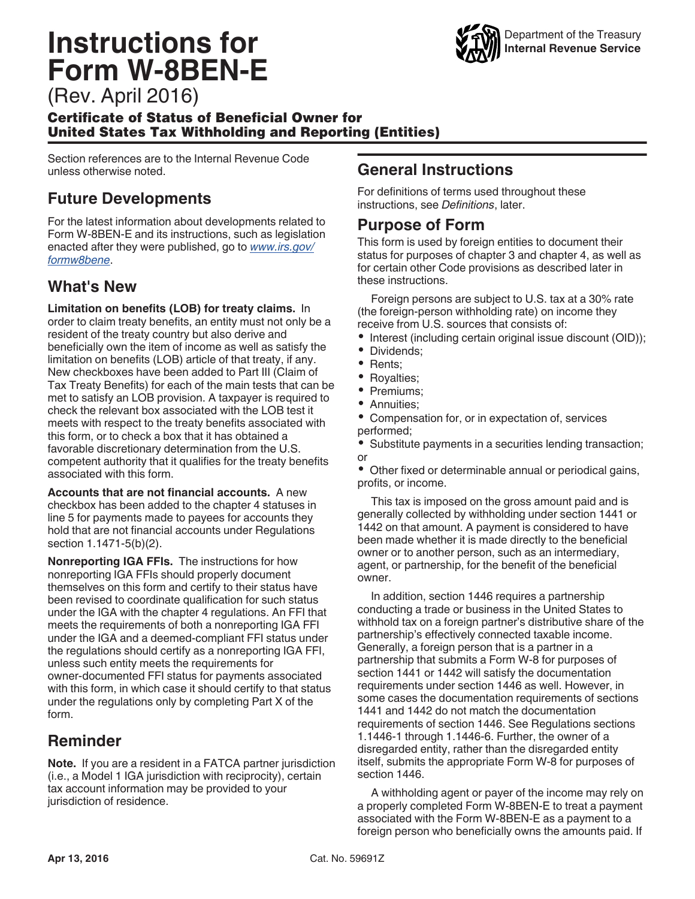# **Instructions for Form W-8BEN-E**



(Rev. April 2016)

#### Certificate of Status of Beneficial Owner for United States Tax Withholding and Reporting (Entities)

Section references are to the Internal Revenue Code unless otherwise noted.

#### **Future Developments**

For the latest information about developments related to Form W-8BEN-E and its instructions, such as legislation enacted after they were published, go to *[www.irs.gov/](http://www.irs.gov/formw8bene) [formw8bene](http://www.irs.gov/formw8bene)*.

### **What's New**

**Limitation on benefits (LOB) for treaty claims.** In order to claim treaty benefits, an entity must not only be a resident of the treaty country but also derive and beneficially own the item of income as well as satisfy the limitation on benefits (LOB) article of that treaty, if any. New checkboxes have been added to Part III (Claim of Tax Treaty Benefits) for each of the main tests that can be met to satisfy an LOB provision. A taxpayer is required to check the relevant box associated with the LOB test it meets with respect to the treaty benefits associated with this form, or to check a box that it has obtained a favorable discretionary determination from the U.S. competent authority that it qualifies for the treaty benefits associated with this form.

**Accounts that are not financial accounts.** A new checkbox has been added to the chapter 4 statuses in line 5 for payments made to payees for accounts they hold that are not financial accounts under Regulations section 1.1471-5(b)(2).

**Nonreporting IGA FFIs.** The instructions for how nonreporting IGA FFIs should properly document themselves on this form and certify to their status have been revised to coordinate qualification for such status under the IGA with the chapter 4 regulations. An FFI that meets the requirements of both a nonreporting IGA FFI under the IGA and a deemed-compliant FFI status under the regulations should certify as a nonreporting IGA FFI, unless such entity meets the requirements for owner-documented FFI status for payments associated with this form, in which case it should certify to that status under the regulations only by completing Part X of the form.

#### **Reminder**

**Note.** If you are a resident in a FATCA partner jurisdiction (i.e., a Model 1 IGA jurisdiction with reciprocity), certain tax account information may be provided to your jurisdiction of residence.

#### **General Instructions**

For definitions of terms used throughout these instructions, see *Definitions*, later.

#### **Purpose of Form**

This form is used by foreign entities to document their status for purposes of chapter 3 and chapter 4, as well as for certain other Code provisions as described later in these instructions.

Foreign persons are subject to U.S. tax at a 30% rate (the foreign-person withholding rate) on income they receive from U.S. sources that consists of:

- Interest (including certain original issue discount (OID));
- $\bullet$ Dividends;
- Rents;
- Royalties;
- Premiums;
- $\bullet$ Annuities;
- Compensation for, or in expectation of, services performed;

Substitute payments in a securities lending transaction; or

• Other fixed or determinable annual or periodical gains, profits, or income.

This tax is imposed on the gross amount paid and is generally collected by withholding under section 1441 or 1442 on that amount. A payment is considered to have been made whether it is made directly to the beneficial owner or to another person, such as an intermediary, agent, or partnership, for the benefit of the beneficial owner.

In addition, section 1446 requires a partnership conducting a trade or business in the United States to withhold tax on a foreign partner's distributive share of the partnership's effectively connected taxable income. Generally, a foreign person that is a partner in a partnership that submits a Form W-8 for purposes of section 1441 or 1442 will satisfy the documentation requirements under section 1446 as well. However, in some cases the documentation requirements of sections 1441 and 1442 do not match the documentation requirements of section 1446. See Regulations sections 1.1446-1 through 1.1446-6. Further, the owner of a disregarded entity, rather than the disregarded entity itself, submits the appropriate Form W-8 for purposes of section 1446.

A withholding agent or payer of the income may rely on a properly completed Form W-8BEN-E to treat a payment associated with the Form W-8BEN-E as a payment to a foreign person who beneficially owns the amounts paid. If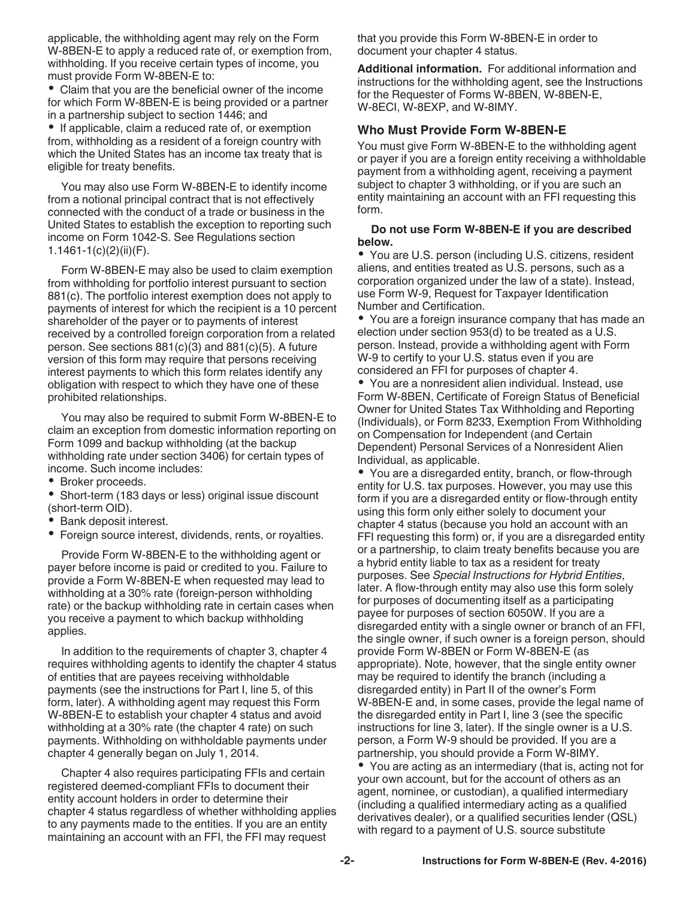applicable, the withholding agent may rely on the Form W-8BEN-E to apply a reduced rate of, or exemption from, withholding. If you receive certain types of income, you must provide Form W-8BEN-E to:

Claim that you are the beneficial owner of the income for which Form W-8BEN-E is being provided or a partner in a partnership subject to section 1446; and

• If applicable, claim a reduced rate of, or exemption from, withholding as a resident of a foreign country with which the United States has an income tax treaty that is eligible for treaty benefits.

You may also use Form W-8BEN-E to identify income from a notional principal contract that is not effectively connected with the conduct of a trade or business in the United States to establish the exception to reporting such income on Form 1042-S. See Regulations section 1.1461-1(c)(2)(ii)(F).

Form W-8BEN-E may also be used to claim exemption from withholding for portfolio interest pursuant to section 881(c). The portfolio interest exemption does not apply to payments of interest for which the recipient is a 10 percent shareholder of the payer or to payments of interest received by a controlled foreign corporation from a related person. See sections 881(c)(3) and 881(c)(5). A future version of this form may require that persons receiving interest payments to which this form relates identify any obligation with respect to which they have one of these prohibited relationships.

You may also be required to submit Form W-8BEN-E to claim an exception from domestic information reporting on Form 1099 and backup withholding (at the backup withholding rate under section 3406) for certain types of income. Such income includes:

- Broker proceeds.
- Short-term (183 days or less) original issue discount (short-term OID).
- Bank deposit interest.
- Foreign source interest, dividends, rents, or royalties.

Provide Form W-8BEN-E to the withholding agent or payer before income is paid or credited to you. Failure to provide a Form W-8BEN-E when requested may lead to withholding at a 30% rate (foreign-person withholding rate) or the backup withholding rate in certain cases when you receive a payment to which backup withholding applies.

In addition to the requirements of chapter 3, chapter 4 requires withholding agents to identify the chapter 4 status of entities that are payees receiving withholdable payments (see the instructions for Part I, line 5, of this form, later). A withholding agent may request this Form W-8BEN-E to establish your chapter 4 status and avoid withholding at a 30% rate (the chapter 4 rate) on such payments. Withholding on withholdable payments under chapter 4 generally began on July 1, 2014.

Chapter 4 also requires participating FFIs and certain registered deemed-compliant FFIs to document their entity account holders in order to determine their chapter 4 status regardless of whether withholding applies to any payments made to the entities. If you are an entity maintaining an account with an FFI, the FFI may request

that you provide this Form W-8BEN-E in order to document your chapter 4 status.

**Additional information.** For additional information and instructions for the withholding agent, see the Instructions for the Requester of Forms W-8BEN, W-8BEN-E, W-8ECI, W-8EXP, and W-8IMY.

#### **Who Must Provide Form W-8BEN-E**

You must give Form W-8BEN-E to the withholding agent or payer if you are a foreign entity receiving a withholdable payment from a withholding agent, receiving a payment subject to chapter 3 withholding, or if you are such an entity maintaining an account with an FFI requesting this form.

#### **Do not use Form W-8BEN-E if you are described below.**

You are U.S. person (including U.S. citizens, resident aliens, and entities treated as U.S. persons, such as a corporation organized under the law of a state). Instead, use Form W-9, Request for Taxpayer Identification Number and Certification.

You are a foreign insurance company that has made an election under section 953(d) to be treated as a U.S. person. Instead, provide a withholding agent with Form W-9 to certify to your U.S. status even if you are considered an FFI for purposes of chapter 4.

You are a nonresident alien individual. Instead, use Form W-8BEN, Certificate of Foreign Status of Beneficial Owner for United States Tax Withholding and Reporting (Individuals), or Form 8233, Exemption From Withholding on Compensation for Independent (and Certain Dependent) Personal Services of a Nonresident Alien Individual, as applicable.

You are a disregarded entity, branch, or flow-through entity for U.S. tax purposes. However, you may use this form if you are a disregarded entity or flow-through entity using this form only either solely to document your chapter 4 status (because you hold an account with an FFI requesting this form) or, if you are a disregarded entity or a partnership, to claim treaty benefits because you are a hybrid entity liable to tax as a resident for treaty purposes. See *Special Instructions for Hybrid Entities*, later. A flow-through entity may also use this form solely for purposes of documenting itself as a participating payee for purposes of section 6050W. If you are a disregarded entity with a single owner or branch of an FFI, the single owner, if such owner is a foreign person, should provide Form W-8BEN or Form W-8BEN-E (as appropriate). Note, however, that the single entity owner may be required to identify the branch (including a disregarded entity) in Part II of the owner's Form W-8BEN-E and, in some cases, provide the legal name of the disregarded entity in Part I, line 3 (see the specific instructions for line 3, later). If the single owner is a U.S. person, a Form W-9 should be provided. If you are a partnership, you should provide a Form W-8IMY.

You are acting as an intermediary (that is, acting not for your own account, but for the account of others as an agent, nominee, or custodian), a qualified intermediary (including a qualified intermediary acting as a qualified derivatives dealer), or a qualified securities lender (QSL) with regard to a payment of U.S. source substitute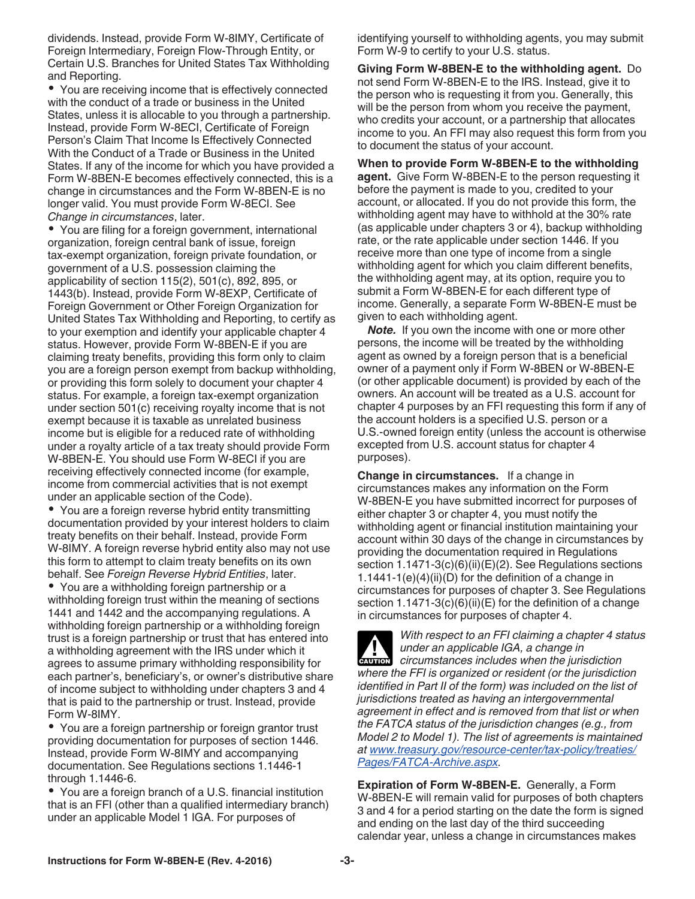dividends. Instead, provide Form W-8IMY, Certificate of Foreign Intermediary, Foreign Flow-Through Entity, or Certain U.S. Branches for United States Tax Withholding and Reporting.

You are receiving income that is effectively connected with the conduct of a trade or business in the United States, unless it is allocable to you through a partnership. Instead, provide Form W-8ECI, Certificate of Foreign Person's Claim That Income Is Effectively Connected With the Conduct of a Trade or Business in the United States. If any of the income for which you have provided a Form W-8BEN-E becomes effectively connected, this is a change in circumstances and the Form W-8BEN-E is no longer valid. You must provide Form W-8ECI. See *Change in circumstances*, later.

You are filing for a foreign government, international organization, foreign central bank of issue, foreign tax-exempt organization, foreign private foundation, or government of a U.S. possession claiming the applicability of section 115(2), 501(c), 892, 895, or 1443(b). Instead, provide Form W-8EXP, Certificate of Foreign Government or Other Foreign Organization for United States Tax Withholding and Reporting, to certify as to your exemption and identify your applicable chapter 4 status. However, provide Form W-8BEN-E if you are claiming treaty benefits, providing this form only to claim you are a foreign person exempt from backup withholding, or providing this form solely to document your chapter 4 status. For example, a foreign tax-exempt organization under section 501(c) receiving royalty income that is not exempt because it is taxable as unrelated business income but is eligible for a reduced rate of withholding under a royalty article of a tax treaty should provide Form W-8BEN-E. You should use Form W-8ECI if you are receiving effectively connected income (for example, income from commercial activities that is not exempt under an applicable section of the Code).

You are a foreign reverse hybrid entity transmitting documentation provided by your interest holders to claim treaty benefits on their behalf. Instead, provide Form W-8IMY. A foreign reverse hybrid entity also may not use this form to attempt to claim treaty benefits on its own behalf. See *Foreign Reverse Hybrid Entities*, later.

You are a withholding foreign partnership or a withholding foreign trust within the meaning of sections 1441 and 1442 and the accompanying regulations. A withholding foreign partnership or a withholding foreign trust is a foreign partnership or trust that has entered into a withholding agreement with the IRS under which it agrees to assume primary withholding responsibility for each partner's, beneficiary's, or owner's distributive share of income subject to withholding under chapters 3 and 4 that is paid to the partnership or trust. Instead, provide Form W-8IMY.

You are a foreign partnership or foreign grantor trust providing documentation for purposes of section 1446. Instead, provide Form W-8IMY and accompanying documentation. See Regulations sections 1.1446-1 through 1.1446-6.

You are a foreign branch of a U.S. financial institution that is an FFI (other than a qualified intermediary branch) under an applicable Model 1 IGA. For purposes of

identifying yourself to withholding agents, you may submit Form W-9 to certify to your U.S. status.

**Giving Form W-8BEN-E to the withholding agent.** Do not send Form W-8BEN-E to the IRS. Instead, give it to the person who is requesting it from you. Generally, this will be the person from whom you receive the payment, who credits your account, or a partnership that allocates income to you. An FFI may also request this form from you to document the status of your account.

**When to provide Form W-8BEN-E to the withholding agent.** Give Form W-8BEN-E to the person requesting it before the payment is made to you, credited to your account, or allocated. If you do not provide this form, the withholding agent may have to withhold at the 30% rate (as applicable under chapters 3 or 4), backup withholding rate, or the rate applicable under section 1446. If you receive more than one type of income from a single withholding agent for which you claim different benefits, the withholding agent may, at its option, require you to submit a Form W-8BEN-E for each different type of income. Generally, a separate Form W-8BEN-E must be given to each withholding agent.

*Note.* If you own the income with one or more other persons, the income will be treated by the withholding agent as owned by a foreign person that is a beneficial owner of a payment only if Form W-8BEN or W-8BEN-E (or other applicable document) is provided by each of the owners. An account will be treated as a U.S. account for chapter 4 purposes by an FFI requesting this form if any of the account holders is a specified U.S. person or a U.S.-owned foreign entity (unless the account is otherwise excepted from U.S. account status for chapter 4 purposes).

**Change in circumstances.** If a change in circumstances makes any information on the Form W-8BEN-E you have submitted incorrect for purposes of either chapter 3 or chapter 4, you must notify the withholding agent or financial institution maintaining your account within 30 days of the change in circumstances by providing the documentation required in Regulations section 1.1471-3(c)(6)(ii)(E)(2). See Regulations sections 1.1441-1(e)(4)(ii)(D) for the definition of a change in circumstances for purposes of chapter 3. See Regulations section 1.1471-3(c)(6)(ii)(E) for the definition of a change in circumstances for purposes of chapter 4.

*With respect to an FFI claiming a chapter 4 status under an applicable IGA, a change in*  **CAUTION** under an applicable IGA, a change in<br>
courrer circumstances includes when the jurisdiction *where the FFI is organized or resident (or the jurisdiction identified in Part II of the form) was included on the list of jurisdictions treated as having an intergovernmental agreement in effect and is removed from that list or when the FATCA status of the jurisdiction changes (e.g., from Model 2 to Model 1). The list of agreements is maintained at [www.treasury.gov/resource-center/tax-policy/treaties/](http://www.treasury.gov/resource-center/tax-policy/treaties/Pages/FATCA-Archive.aspx) [Pages/FATCA-Archive.aspx.](http://www.treasury.gov/resource-center/tax-policy/treaties/Pages/FATCA-Archive.aspx)*

**Expiration of Form W-8BEN-E.** Generally, a Form W-8BEN-E will remain valid for purposes of both chapters 3 and 4 for a period starting on the date the form is signed and ending on the last day of the third succeeding calendar year, unless a change in circumstances makes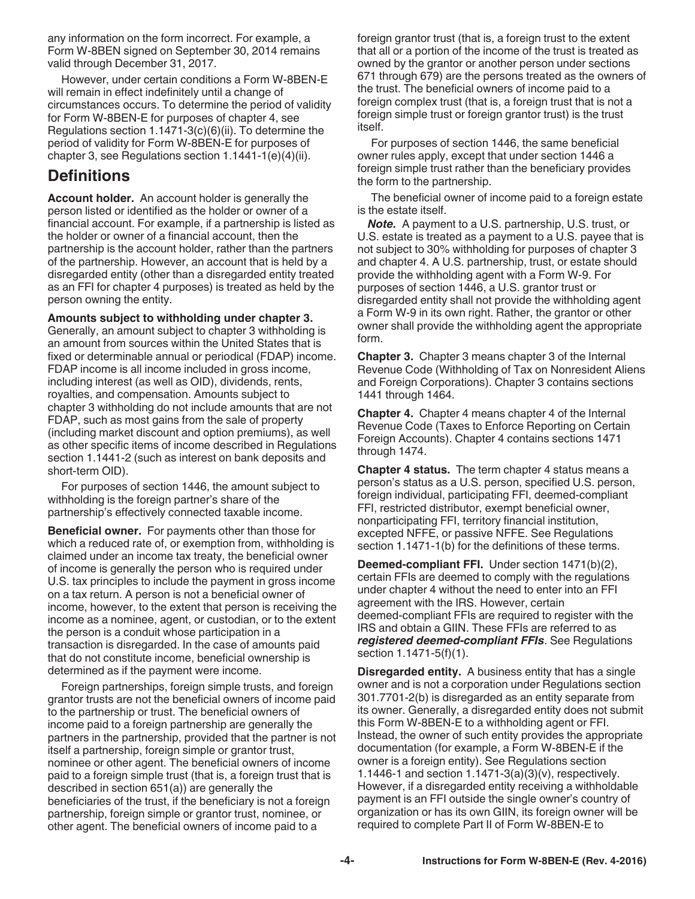any information on the form incorrect. For example, a Form W-8BEN signed on September 30, 2014 remains valid through December 31, 2017.

However, under certain conditions a Form W-8BEN-E will remain in effect indefinitely until a change of circumstances occurs. To determine the period of validity for Form W-8BEN-E for purposes of chapter 4, see Regulations section 1.1471-3(c)(6)(ii). To determine the period of validity for Form W-8BEN-E for purposes of chapter 3, see Regulations section 1.1441-1(e)(4)(ii).

#### **Definitions**

**Account holder.** An account holder is generally the person listed or identified as the holder or owner of a financial account. For example, if a partnership is listed as the holder or owner of a financial account, then the partnership is the account holder, rather than the partners of the partnership. However, an account that is held by a disregarded entity (other than a disregarded entity treated as an FFI for chapter 4 purposes) is treated as held by the person owning the entity.

**Amounts subject to withholding under chapter 3.**  Generally, an amount subject to chapter 3 withholding is an amount from sources within the United States that is fixed or determinable annual or periodical (FDAP) income. FDAP income is all income included in gross income, including interest (as well as OID), dividends, rents, royalties, and compensation. Amounts subject to chapter 3 withholding do not include amounts that are not FDAP, such as most gains from the sale of property (including market discount and option premiums), as well as other specific items of income described in Regulations section 1.1441-2 (such as interest on bank deposits and short-term OID).

For purposes of section 1446, the amount subject to withholding is the foreign partner's share of the partnership's effectively connected taxable income.

**Beneficial owner.** For payments other than those for which a reduced rate of, or exemption from, withholding is claimed under an income tax treaty, the beneficial owner of income is generally the person who is required under U.S. tax principles to include the payment in gross income on a tax return. A person is not a beneficial owner of income, however, to the extent that person is receiving the income as a nominee, agent, or custodian, or to the extent the person is a conduit whose participation in a transaction is disregarded. In the case of amounts paid that do not constitute income, beneficial ownership is determined as if the payment were income.

Foreign partnerships, foreign simple trusts, and foreign grantor trusts are not the beneficial owners of income paid to the partnership or trust. The beneficial owners of income paid to a foreign partnership are generally the partners in the partnership, provided that the partner is not itself a partnership, foreign simple or grantor trust, nominee or other agent. The beneficial owners of income paid to a foreign simple trust (that is, a foreign trust that is described in section 651(a)) are generally the beneficiaries of the trust, if the beneficiary is not a foreign partnership, foreign simple or grantor trust, nominee, or other agent. The beneficial owners of income paid to a

foreign grantor trust (that is, a foreign trust to the extent that all or a portion of the income of the trust is treated as owned by the grantor or another person under sections 671 through 679) are the persons treated as the owners of the trust. The beneficial owners of income paid to a foreign complex trust (that is, a foreign trust that is not a foreign simple trust or foreign grantor trust) is the trust itself.

For purposes of section 1446, the same beneficial owner rules apply, except that under section 1446 a foreign simple trust rather than the beneficiary provides the form to the partnership.

The beneficial owner of income paid to a foreign estate is the estate itself.

*Note.* A payment to a U.S. partnership, U.S. trust, or U.S. estate is treated as a payment to a U.S. payee that is not subject to 30% withholding for purposes of chapter 3 and chapter 4. A U.S. partnership, trust, or estate should provide the withholding agent with a Form W-9. For purposes of section 1446, a U.S. grantor trust or disregarded entity shall not provide the withholding agent a Form W-9 in its own right. Rather, the grantor or other owner shall provide the withholding agent the appropriate form.

**Chapter 3.** Chapter 3 means chapter 3 of the Internal Revenue Code (Withholding of Tax on Nonresident Aliens and Foreign Corporations). Chapter 3 contains sections 1441 through 1464.

**Chapter 4.** Chapter 4 means chapter 4 of the Internal Revenue Code (Taxes to Enforce Reporting on Certain Foreign Accounts). Chapter 4 contains sections 1471 through 1474.

**Chapter 4 status.** The term chapter 4 status means a person's status as a U.S. person, specified U.S. person, foreign individual, participating FFI, deemed-compliant FFI, restricted distributor, exempt beneficial owner, nonparticipating FFI, territory financial institution, excepted NFFE, or passive NFFE. See Regulations section 1.1471-1(b) for the definitions of these terms.

**Deemed-compliant FFI.** Under section 1471(b)(2), certain FFIs are deemed to comply with the regulations under chapter 4 without the need to enter into an FFI agreement with the IRS. However, certain deemed-compliant FFIs are required to register with the IRS and obtain a GIIN. These FFIs are referred to as *registered deemed-compliant FFIs*. See Regulations section 1.1471-5(f)(1).

**Disregarded entity.** A business entity that has a single owner and is not a corporation under Regulations section 301.7701-2(b) is disregarded as an entity separate from its owner. Generally, a disregarded entity does not submit this Form W-8BEN-E to a withholding agent or FFI. Instead, the owner of such entity provides the appropriate documentation (for example, a Form W-8BEN-E if the owner is a foreign entity). See Regulations section 1.1446-1 and section 1.1471-3(a)(3)(v), respectively. However, if a disregarded entity receiving a withholdable payment is an FFI outside the single owner's country of organization or has its own GIIN, its foreign owner will be required to complete Part II of Form W-8BEN-E to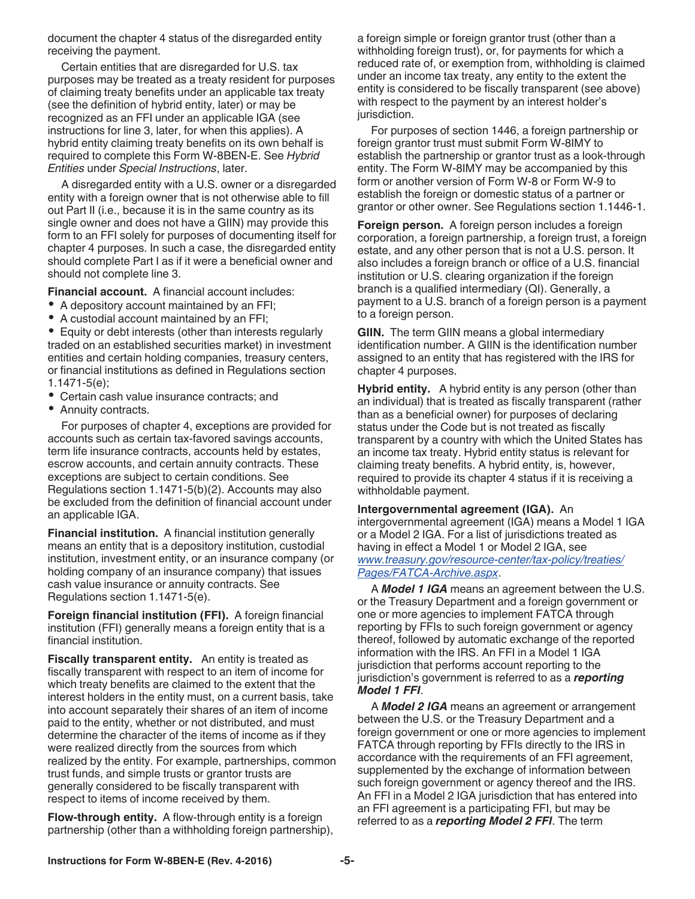document the chapter 4 status of the disregarded entity receiving the payment.

Certain entities that are disregarded for U.S. tax purposes may be treated as a treaty resident for purposes of claiming treaty benefits under an applicable tax treaty (see the definition of hybrid entity, later) or may be recognized as an FFI under an applicable IGA (see instructions for line 3, later, for when this applies). A hybrid entity claiming treaty benefits on its own behalf is required to complete this Form W-8BEN-E. See *Hybrid Entities* under *Special Instructions*, later.

A disregarded entity with a U.S. owner or a disregarded entity with a foreign owner that is not otherwise able to fill out Part II (i.e., because it is in the same country as its single owner and does not have a GIIN) may provide this form to an FFI solely for purposes of documenting itself for chapter 4 purposes. In such a case, the disregarded entity should complete Part I as if it were a beneficial owner and should not complete line 3.

**Financial account.** A financial account includes:

- A depository account maintained by an FFI;
- $\bullet$ A custodial account maintained by an FFI;

Equity or debt interests (other than interests regularly traded on an established securities market) in investment entities and certain holding companies, treasury centers, or financial institutions as defined in Regulations section 1.1471-5(e);

- Certain cash value insurance contracts; and
- Annuity contracts.

For purposes of chapter 4, exceptions are provided for accounts such as certain tax-favored savings accounts, term life insurance contracts, accounts held by estates, escrow accounts, and certain annuity contracts. These exceptions are subject to certain conditions. See Regulations section 1.1471-5(b)(2). Accounts may also be excluded from the definition of financial account under an applicable IGA.

**Financial institution.** A financial institution generally means an entity that is a depository institution, custodial institution, investment entity, or an insurance company (or holding company of an insurance company) that issues cash value insurance or annuity contracts. See Regulations section 1.1471-5(e).

**Foreign financial institution (FFI).** A foreign financial institution (FFI) generally means a foreign entity that is a financial institution.

**Fiscally transparent entity.** An entity is treated as fiscally transparent with respect to an item of income for which treaty benefits are claimed to the extent that the interest holders in the entity must, on a current basis, take into account separately their shares of an item of income paid to the entity, whether or not distributed, and must determine the character of the items of income as if they were realized directly from the sources from which realized by the entity. For example, partnerships, common trust funds, and simple trusts or grantor trusts are generally considered to be fiscally transparent with respect to items of income received by them.

**Flow-through entity.** A flow-through entity is a foreign partnership (other than a withholding foreign partnership), a foreign simple or foreign grantor trust (other than a withholding foreign trust), or, for payments for which a reduced rate of, or exemption from, withholding is claimed under an income tax treaty, any entity to the extent the entity is considered to be fiscally transparent (see above) with respect to the payment by an interest holder's jurisdiction.

For purposes of section 1446, a foreign partnership or foreign grantor trust must submit Form W-8IMY to establish the partnership or grantor trust as a look-through entity. The Form W-8IMY may be accompanied by this form or another version of Form W-8 or Form W-9 to establish the foreign or domestic status of a partner or grantor or other owner. See Regulations section 1.1446-1.

**Foreign person.** A foreign person includes a foreign corporation, a foreign partnership, a foreign trust, a foreign estate, and any other person that is not a U.S. person. It also includes a foreign branch or office of a U.S. financial institution or U.S. clearing organization if the foreign branch is a qualified intermediary (QI). Generally, a payment to a U.S. branch of a foreign person is a payment to a foreign person.

**GIIN.** The term GIIN means a global intermediary identification number. A GIIN is the identification number assigned to an entity that has registered with the IRS for chapter 4 purposes.

**Hybrid entity.** A hybrid entity is any person (other than an individual) that is treated as fiscally transparent (rather than as a beneficial owner) for purposes of declaring status under the Code but is not treated as fiscally transparent by a country with which the United States has an income tax treaty. Hybrid entity status is relevant for claiming treaty benefits. A hybrid entity, is, however, required to provide its chapter 4 status if it is receiving a withholdable payment.

**Intergovernmental agreement (IGA).** An intergovernmental agreement (IGA) means a Model 1 IGA or a Model 2 IGA. For a list of jurisdictions treated as having in effect a Model 1 or Model 2 IGA, see *[www.treasury.gov/resource-center/tax-policy/treaties/](http://www.treasury.gov/resource-center/tax-policy/treaties/Pages/FATCA-Archive.aspx) [Pages/FATCA-Archive.aspx](http://www.treasury.gov/resource-center/tax-policy/treaties/Pages/FATCA-Archive.aspx)*.

A *Model 1 IGA* means an agreement between the U.S. or the Treasury Department and a foreign government or one or more agencies to implement FATCA through reporting by FFIs to such foreign government or agency thereof, followed by automatic exchange of the reported information with the IRS. An FFI in a Model 1 IGA jurisdiction that performs account reporting to the jurisdiction's government is referred to as a *reporting Model 1 FFI*.

A *Model 2 IGA* means an agreement or arrangement between the U.S. or the Treasury Department and a foreign government or one or more agencies to implement FATCA through reporting by FFIs directly to the IRS in accordance with the requirements of an FFI agreement, supplemented by the exchange of information between such foreign government or agency thereof and the IRS. An FFI in a Model 2 IGA jurisdiction that has entered into an FFI agreement is a participating FFI, but may be referred to as a *reporting Model 2 FFI*. The term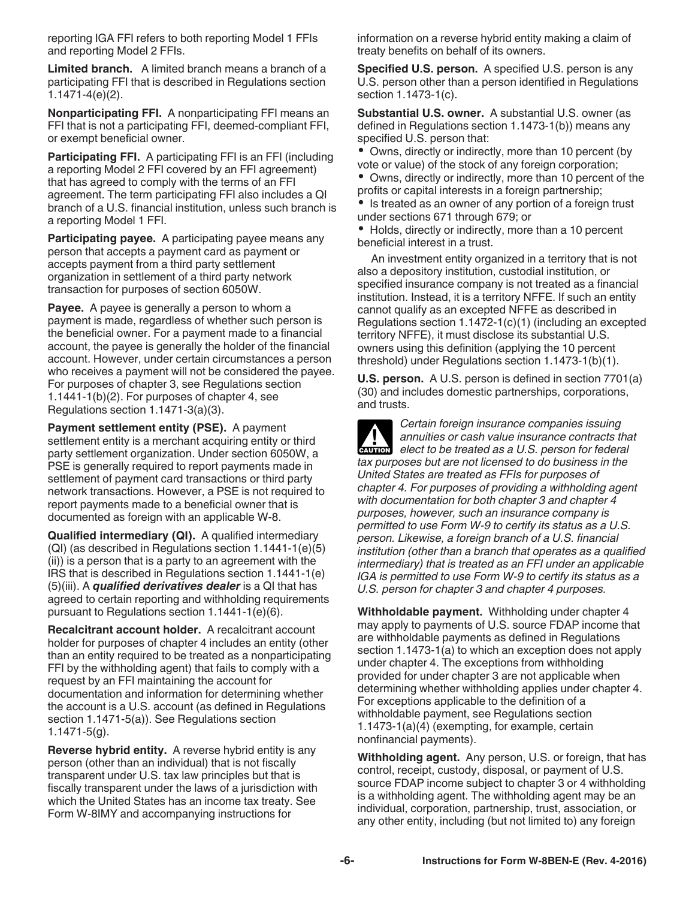reporting IGA FFI refers to both reporting Model 1 FFIs and reporting Model 2 FFIs.

**Limited branch.** A limited branch means a branch of a participating FFI that is described in Regulations section 1.1471-4(e)(2).

**Nonparticipating FFI.** A nonparticipating FFI means an FFI that is not a participating FFI, deemed-compliant FFI, or exempt beneficial owner.

**Participating FFI.** A participating FFI is an FFI (including a reporting Model 2 FFI covered by an FFI agreement) that has agreed to comply with the terms of an FFI agreement. The term participating FFI also includes a QI branch of a U.S. financial institution, unless such branch is a reporting Model 1 FFI.

**Participating payee.** A participating payee means any person that accepts a payment card as payment or accepts payment from a third party settlement organization in settlement of a third party network transaction for purposes of section 6050W.

**Payee.** A payee is generally a person to whom a payment is made, regardless of whether such person is the beneficial owner. For a payment made to a financial account, the payee is generally the holder of the financial account. However, under certain circumstances a person who receives a payment will not be considered the payee. For purposes of chapter 3, see Regulations section 1.1441-1(b)(2). For purposes of chapter 4, see Regulations section 1.1471-3(a)(3).

**Payment settlement entity (PSE).** A payment settlement entity is a merchant acquiring entity or third party settlement organization. Under section 6050W, a PSE is generally required to report payments made in settlement of payment card transactions or third party network transactions. However, a PSE is not required to report payments made to a beneficial owner that is documented as foreign with an applicable W-8.

**Qualified intermediary (QI).** A qualified intermediary (QI) (as described in Regulations section 1.1441-1(e)(5) (ii)) is a person that is a party to an agreement with the IRS that is described in Regulations section 1.1441-1(e) (5)(iii). A *qualified derivatives dealer* is a QI that has agreed to certain reporting and withholding requirements pursuant to Regulations section 1.1441-1(e)(6).

**Recalcitrant account holder.** A recalcitrant account holder for purposes of chapter 4 includes an entity (other than an entity required to be treated as a nonparticipating FFI by the withholding agent) that fails to comply with a request by an FFI maintaining the account for documentation and information for determining whether the account is a U.S. account (as defined in Regulations section 1.1471-5(a)). See Regulations section 1.1471-5(g).

**Reverse hybrid entity.** A reverse hybrid entity is any person (other than an individual) that is not fiscally transparent under U.S. tax law principles but that is fiscally transparent under the laws of a jurisdiction with which the United States has an income tax treaty. See Form W-8IMY and accompanying instructions for

information on a reverse hybrid entity making a claim of treaty benefits on behalf of its owners.

**Specified U.S. person.** A specified U.S. person is any U.S. person other than a person identified in Regulations section 1.1473-1(c).

**Substantial U.S. owner.** A substantial U.S. owner (as defined in Regulations section 1.1473-1(b)) means any specified U.S. person that:

• Owns, directly or indirectly, more than 10 percent (by vote or value) of the stock of any foreign corporation;

Owns, directly or indirectly, more than 10 percent of the profits or capital interests in a foreign partnership;

Is treated as an owner of any portion of a foreign trust under sections 671 through 679; or

• Holds, directly or indirectly, more than a 10 percent beneficial interest in a trust.

An investment entity organized in a territory that is not also a depository institution, custodial institution, or specified insurance company is not treated as a financial institution. Instead, it is a territory NFFE. If such an entity cannot qualify as an excepted NFFE as described in Regulations section 1.1472-1(c)(1) (including an excepted territory NFFE), it must disclose its substantial U.S. owners using this definition (applying the 10 percent threshold) under Regulations section 1.1473-1(b)(1).

**U.S. person.** A U.S. person is defined in section 7701(a) (30) and includes domestic partnerships, corporations, and trusts.

*Certain foreign insurance companies issuing annuities or cash value insurance contracts that elect to be treated as a U.S. person for federal tax purposes but are not licensed to do business in the United States are treated as FFIs for purposes of chapter 4. For purposes of providing a withholding agent with documentation for both chapter 3 and chapter 4 purposes, however, such an insurance company is permitted to use Form W-9 to certify its status as a U.S. person. Likewise, a foreign branch of a U.S. financial institution (other than a branch that operates as a qualified intermediary) that is treated as an FFI under an applicable IGA is permitted to use Form W-9 to certify its status as a U.S. person for chapter 3 and chapter 4 purposes.* **CAUTION !**

**Withholdable payment.** Withholding under chapter 4 may apply to payments of U.S. source FDAP income that are withholdable payments as defined in Regulations section 1.1473-1(a) to which an exception does not apply under chapter 4. The exceptions from withholding provided for under chapter 3 are not applicable when determining whether withholding applies under chapter 4. For exceptions applicable to the definition of a withholdable payment, see Regulations section 1.1473-1(a)(4) (exempting, for example, certain nonfinancial payments).

**Withholding agent.** Any person, U.S. or foreign, that has control, receipt, custody, disposal, or payment of U.S. source FDAP income subject to chapter 3 or 4 withholding is a withholding agent. The withholding agent may be an individual, corporation, partnership, trust, association, or any other entity, including (but not limited to) any foreign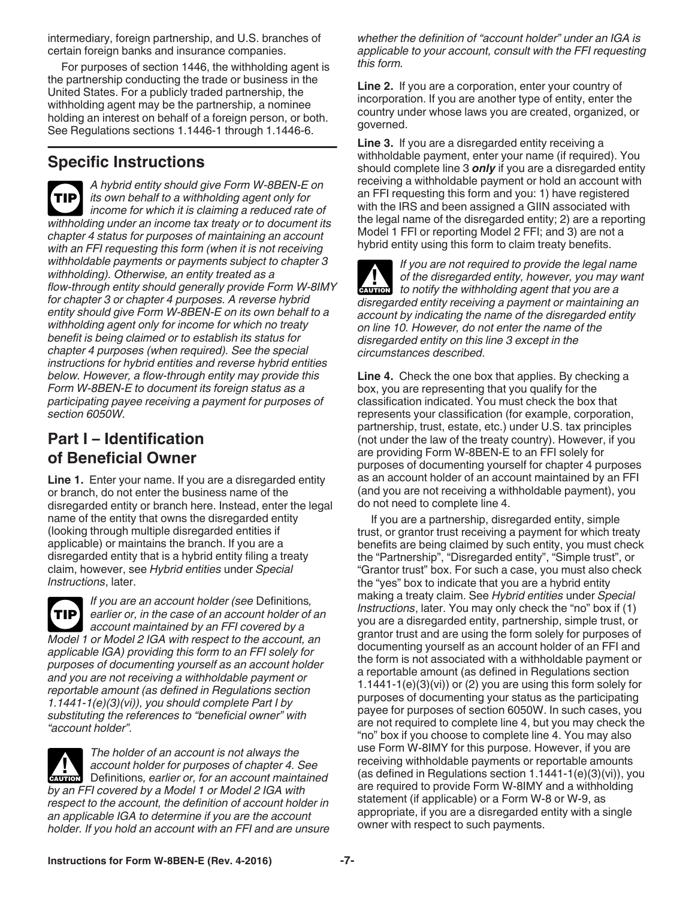intermediary, foreign partnership, and U.S. branches of certain foreign banks and insurance companies.

For purposes of section 1446, the withholding agent is the partnership conducting the trade or business in the United States. For a publicly traded partnership, the withholding agent may be the partnership, a nominee holding an interest on behalf of a foreign person, or both. See Regulations sections 1.1446-1 through 1.1446-6.

#### **Specific Instructions**

*A hybrid entity should give Form W-8BEN-E on its own behalf to a withholding agent only for income for which it is claiming a reduced rate of withholding under an income tax treaty or to document its chapter 4 status for purposes of maintaining an account with an FFI requesting this form (when it is not receiving withholdable payments or payments subject to chapter 3 withholding). Otherwise, an entity treated as a flow-through entity should generally provide Form W-8IMY for chapter 3 or chapter 4 purposes. A reverse hybrid entity should give Form W-8BEN-E on its own behalf to a withholding agent only for income for which no treaty benefit is being claimed or to establish its status for chapter 4 purposes (when required). See the special instructions for hybrid entities and reverse hybrid entities below. However, a flow-through entity may provide this Form W-8BEN-E to document its foreign status as a participating payee receiving a payment for purposes of section 6050W.* **TIP**

#### **Part I – Identification of Beneficial Owner**

**Line 1.** Enter your name. If you are a disregarded entity or branch, do not enter the business name of the disregarded entity or branch here. Instead, enter the legal name of the entity that owns the disregarded entity (looking through multiple disregarded entities if applicable) or maintains the branch. If you are a disregarded entity that is a hybrid entity filing a treaty claim, however, see *Hybrid entities* under *Special Instructions*, later.



*If you are an account holder (see* Definitions*, earlier or, in the case of an account holder of an account maintained by an FFI covered by a Model 1 or Model 2 IGA with respect to the account, an applicable IGA) providing this form to an FFI solely for purposes of documenting yourself as an account holder and you are not receiving a withholdable payment or reportable amount (as defined in Regulations section 1.1441-1(e)(3)(vi)), you should complete Part I by substituting the references to "beneficial owner" with "account holder".*

*The holder of an account is not always the account holder for purposes of chapter 4. See*  Definitions*, earlier or, for an account maintained by an FFI covered by a Model 1 or Model 2 IGA with respect to the account, the definition of account holder in an applicable IGA to determine if you are the account holder. If you hold an account with an FFI and are unsure*  **CAUTION !**

*whether the definition of "account holder" under an IGA is applicable to your account, consult with the FFI requesting this form.*

**Line 2.** If you are a corporation, enter your country of incorporation. If you are another type of entity, enter the country under whose laws you are created, organized, or governed.

**Line 3.** If you are a disregarded entity receiving a withholdable payment, enter your name (if required). You should complete line 3 *only* if you are a disregarded entity receiving a withholdable payment or hold an account with an FFI requesting this form and you: 1) have registered with the IRS and been assigned a GIIN associated with the legal name of the disregarded entity; 2) are a reporting Model 1 FFI or reporting Model 2 FFI; and 3) are not a hybrid entity using this form to claim treaty benefits.

*If you are not required to provide the legal name of the disregarded entity, however, you may want*  of the disregarded entity, however, you may to notify the withholding agent that you are a *disregarded entity receiving a payment or maintaining an account by indicating the name of the disregarded entity on line 10. However, do not enter the name of the disregarded entity on this line 3 except in the circumstances described.*

**Line 4.** Check the one box that applies. By checking a box, you are representing that you qualify for the classification indicated. You must check the box that represents your classification (for example, corporation, partnership, trust, estate, etc.) under U.S. tax principles (not under the law of the treaty country). However, if you are providing Form W-8BEN-E to an FFI solely for purposes of documenting yourself for chapter 4 purposes as an account holder of an account maintained by an FFI (and you are not receiving a withholdable payment), you do not need to complete line 4.

If you are a partnership, disregarded entity, simple trust, or grantor trust receiving a payment for which treaty benefits are being claimed by such entity, you must check the "Partnership", "Disregarded entity", "Simple trust", or "Grantor trust" box. For such a case, you must also check the "yes" box to indicate that you are a hybrid entity making a treaty claim. See *Hybrid entities* under *Special Instructions*, later. You may only check the "no" box if (1) you are a disregarded entity, partnership, simple trust, or grantor trust and are using the form solely for purposes of documenting yourself as an account holder of an FFI and the form is not associated with a withholdable payment or a reportable amount (as defined in Regulations section  $1.1441-1(e)(3)(vi)$  or (2) you are using this form solely for purposes of documenting your status as the participating payee for purposes of section 6050W. In such cases, you are not required to complete line 4, but you may check the "no" box if you choose to complete line 4. You may also use Form W-8IMY for this purpose. However, if you are receiving withholdable payments or reportable amounts (as defined in Regulations section 1.1441-1(e)(3)(vi)), you are required to provide Form W-8IMY and a withholding statement (if applicable) or a Form W-8 or W-9, as appropriate, if you are a disregarded entity with a single owner with respect to such payments.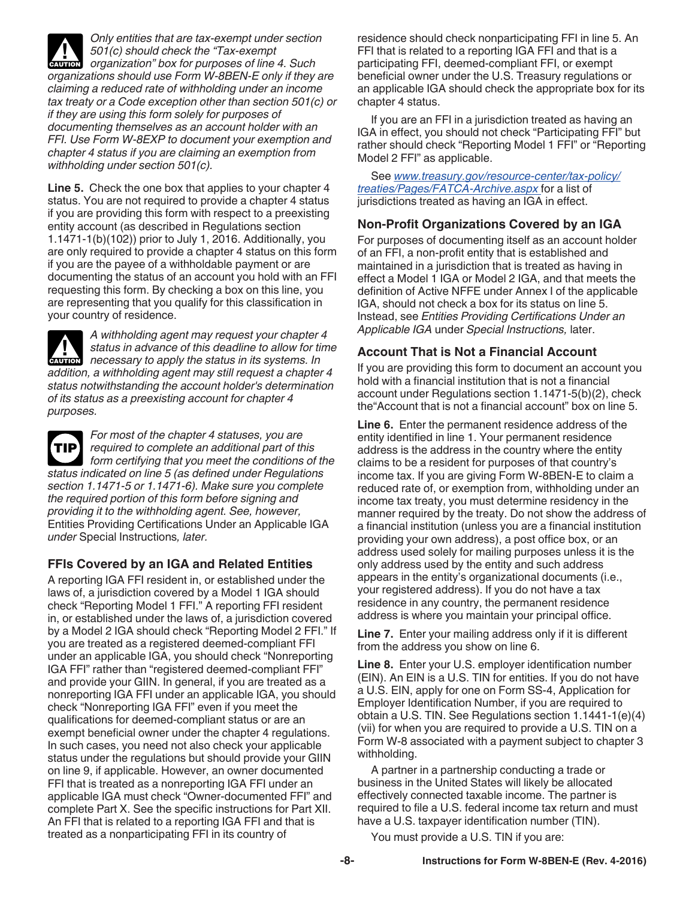*Only entities that are tax-exempt under section 501(c) should check the "Tax-exempt c***<sub>AUTION</sub>** 501(c) should check the "Tax-exempt organization" box for purposes of line 4. Such and **CAUTION** *organizations should use Form W-8BEN-E only if they are claiming a reduced rate of withholding under an income tax treaty or a Code exception other than section 501(c) or if they are using this form solely for purposes of documenting themselves as an account holder with an FFI. Use Form W-8EXP to document your exemption and chapter 4 status if you are claiming an exemption from withholding under section 501(c).*

**Line 5.** Check the one box that applies to your chapter 4 status. You are not required to provide a chapter 4 status if you are providing this form with respect to a preexisting entity account (as described in Regulations section 1.1471-1(b)(102)) prior to July 1, 2016. Additionally, you are only required to provide a chapter 4 status on this form if you are the payee of a withholdable payment or are documenting the status of an account you hold with an FFI requesting this form. By checking a box on this line, you are representing that you qualify for this classification in your country of residence.

*A withholding agent may request your chapter 4 status in advance of this deadline to allow for time*  **of allegently status in advance of this deadline to allow for time in a mecessary to apply the status in its systems. In** *addition, a withholding agent may still request a chapter 4 status notwithstanding the account holder's determination of its status as a preexisting account for chapter 4 purposes.*

*For most of the chapter 4 statuses, you are required to complete an additional part of this form certifying that you meet the conditions of the status indicated on line 5 (as defined under Regulations section 1.1471-5 or 1.1471-6). Make sure you complete the required portion of this form before signing and providing it to the withholding agent. See, however,*  Entities Providing Certifications Under an Applicable IGA *under* Special Instructions*, later.* **TIP**

#### **FFIs Covered by an IGA and Related Entities**

A reporting IGA FFI resident in, or established under the laws of, a jurisdiction covered by a Model 1 IGA should check "Reporting Model 1 FFI." A reporting FFI resident in, or established under the laws of, a jurisdiction covered by a Model 2 IGA should check "Reporting Model 2 FFI." If you are treated as a registered deemed-compliant FFI under an applicable IGA, you should check "Nonreporting IGA FFI" rather than "registered deemed-compliant FFI" and provide your GIIN. In general, if you are treated as a nonreporting IGA FFI under an applicable IGA, you should check "Nonreporting IGA FFI" even if you meet the qualifications for deemed-compliant status or are an exempt beneficial owner under the chapter 4 regulations. In such cases, you need not also check your applicable status under the regulations but should provide your GIIN on line 9, if applicable. However, an owner documented FFI that is treated as a nonreporting IGA FFI under an applicable IGA must check "Owner-documented FFI" and complete Part X. See the specific instructions for Part XII. An FFI that is related to a reporting IGA FFI and that is treated as a nonparticipating FFI in its country of

residence should check nonparticipating FFI in line 5. An FFI that is related to a reporting IGA FFI and that is a participating FFI, deemed-compliant FFI, or exempt beneficial owner under the U.S. Treasury regulations or an applicable IGA should check the appropriate box for its chapter 4 status.

If you are an FFI in a jurisdiction treated as having an IGA in effect, you should not check "Participating FFI" but rather should check "Reporting Model 1 FFI" or "Reporting Model 2 FFI" as applicable.

See *[www.treasury.gov/resource-center/tax-policy/](http://www.treasury.gov/resource-center/tax-policy/treaties/Pages/FATCA-Archive.aspx) [treaties/Pages/FATCA-Archive.aspx](http://www.treasury.gov/resource-center/tax-policy/treaties/Pages/FATCA-Archive.aspx)* for a list of jurisdictions treated as having an IGA in effect.

#### **Non-Profit Organizations Covered by an IGA**

For purposes of documenting itself as an account holder of an FFI, a non-profit entity that is established and maintained in a jurisdiction that is treated as having in effect a Model 1 IGA or Model 2 IGA, and that meets the definition of Active NFFE under Annex I of the applicable IGA, should not check a box for its status on line 5. Instead, see *Entities Providing Certifications Under an Applicable IGA* under *Special Instructions,* later.

#### **Account That is Not a Financial Account**

If you are providing this form to document an account you hold with a financial institution that is not a financial account under Regulations section 1.1471-5(b)(2), check the"Account that is not a financial account" box on line 5.

**Line 6.** Enter the permanent residence address of the entity identified in line 1. Your permanent residence address is the address in the country where the entity claims to be a resident for purposes of that country's income tax. If you are giving Form W-8BEN-E to claim a reduced rate of, or exemption from, withholding under an income tax treaty, you must determine residency in the manner required by the treaty. Do not show the address of a financial institution (unless you are a financial institution providing your own address), a post office box, or an address used solely for mailing purposes unless it is the only address used by the entity and such address appears in the entity's organizational documents (i.e., your registered address). If you do not have a tax residence in any country, the permanent residence address is where you maintain your principal office.

**Line 7.** Enter your mailing address only if it is different from the address you show on line 6.

**Line 8.** Enter your U.S. employer identification number (EIN). An EIN is a U.S. TIN for entities. If you do not have a U.S. EIN, apply for one on Form SS-4, Application for Employer Identification Number, if you are required to obtain a U.S. TIN. See Regulations section 1.1441-1(e)(4) (vii) for when you are required to provide a U.S. TIN on a Form W-8 associated with a payment subject to chapter 3 withholding.

A partner in a partnership conducting a trade or business in the United States will likely be allocated effectively connected taxable income. The partner is required to file a U.S. federal income tax return and must have a U.S. taxpayer identification number (TIN).

You must provide a U.S. TIN if you are: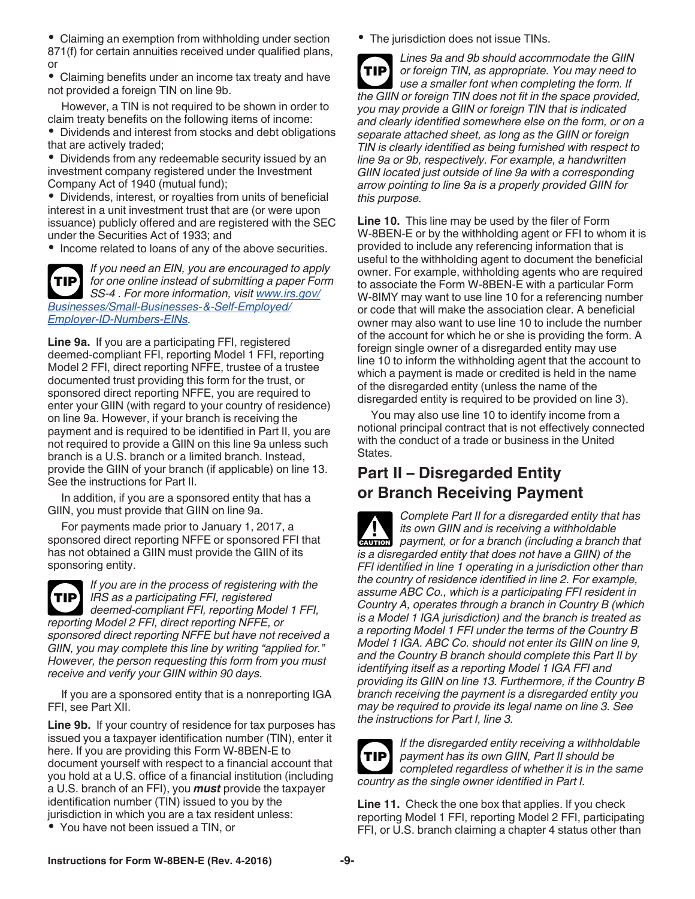• Claiming an exemption from withholding under section 871(f) for certain annuities received under qualified plans, or

Claiming benefits under an income tax treaty and have not provided a foreign TIN on line 9b.

However, a TIN is not required to be shown in order to claim treaty benefits on the following items of income: Dividends and interest from stocks and debt obligations

that are actively traded;

Dividends from any redeemable security issued by an investment company registered under the Investment Company Act of 1940 (mutual fund);

Dividends, interest, or royalties from units of beneficial interest in a unit investment trust that are (or were upon issuance) publicly offered and are registered with the SEC under the Securities Act of 1933; and

• Income related to loans of any of the above securities.

*If you need an EIN, you are encouraged to apply for one online instead of submitting a paper Form SS-4 . For more information, visit [www.irs.gov/](http://www.irs.gov/Businesses/Small-Businesses-&-Self-Employed/Employer-ID-Numbers-EINs) [Businesses/Small-Businesses-&-Self-Employed/](http://www.irs.gov/Businesses/Small-Businesses-&-Self-Employed/Employer-ID-Numbers-EINs) [Employer-ID-Numbers-EINs.](http://www.irs.gov/Businesses/Small-Businesses-&-Self-Employed/Employer-ID-Numbers-EINs)* **TIP**

**Line 9a.** If you are a participating FFI, registered deemed-compliant FFI, reporting Model 1 FFI, reporting Model 2 FFI, direct reporting NFFE, trustee of a trustee documented trust providing this form for the trust, or sponsored direct reporting NFFE, you are required to enter your GIIN (with regard to your country of residence) on line 9a. However, if your branch is receiving the payment and is required to be identified in Part II, you are not required to provide a GIIN on this line 9a unless such branch is a U.S. branch or a limited branch. Instead, provide the GIIN of your branch (if applicable) on line 13. See the instructions for Part II.

In addition, if you are a sponsored entity that has a GIIN, you must provide that GIIN on line 9a.

For payments made prior to January 1, 2017, a sponsored direct reporting NFFE or sponsored FFI that has not obtained a GIIN must provide the GIIN of its sponsoring entity.



*If you are in the process of registering with the IRS as a participating FFI, registered*  **TIP** *deemed-compliant FFI, reporting Model 1 FFI,* 

*reporting Model 2 FFI, direct reporting NFFE, or sponsored direct reporting NFFE but have not received a GIIN, you may complete this line by writing "applied for." However, the person requesting this form from you must receive and verify your GIIN within 90 days.*

If you are a sponsored entity that is a nonreporting IGA FFI, see Part XII.

**Line 9b.** If your country of residence for tax purposes has issued you a taxpayer identification number (TIN), enter it here. If you are providing this Form W-8BEN-E to document yourself with respect to a financial account that you hold at a U.S. office of a financial institution (including a U.S. branch of an FFI), you *must* provide the taxpayer identification number (TIN) issued to you by the jurisdiction in which you are a tax resident unless:

You have not been issued a TIN, or

• The jurisdiction does not issue TINs.

*Lines 9a and 9b should accommodate the GIIN or foreign TIN, as appropriate. You may need to use a smaller font when completing the form. If the GIIN or foreign TIN does not fit in the space provided, you may provide a GIIN or foreign TIN that is indicated and clearly identified somewhere else on the form, or on a separate attached sheet, as long as the GIIN or foreign TIN is clearly identified as being furnished with respect to line 9a or 9b, respectively. For example, a handwritten GIIN located just outside of line 9a with a corresponding arrow pointing to line 9a is a properly provided GIIN for this purpose.* **TIP**

**Line 10.** This line may be used by the filer of Form W-8BEN-E or by the withholding agent or FFI to whom it is provided to include any referencing information that is useful to the withholding agent to document the beneficial owner. For example, withholding agents who are required to associate the Form W-8BEN-E with a particular Form W-8IMY may want to use line 10 for a referencing number or code that will make the association clear. A beneficial owner may also want to use line 10 to include the number of the account for which he or she is providing the form. A foreign single owner of a disregarded entity may use line 10 to inform the withholding agent that the account to which a payment is made or credited is held in the name of the disregarded entity (unless the name of the disregarded entity is required to be provided on line 3).

You may also use line 10 to identify income from a notional principal contract that is not effectively connected with the conduct of a trade or business in the United States.

#### **Part II – Disregarded Entity or Branch Receiving Payment**

*Complete Part II for a disregarded entity that has its own GIIN and is receiving a withholdable payment, or for a branch (including a branch that payment, or for a branch (including a branch that is a disregarded entity that does not have a GIIN) of the FFI identified in line 1 operating in a jurisdiction other than the country of residence identified in line 2. For example, assume ABC Co., which is a participating FFI resident in Country A, operates through a branch in Country B (which is a Model 1 IGA jurisdiction) and the branch is treated as a reporting Model 1 FFI under the terms of the Country B Model 1 IGA. ABC Co. should not enter its GIIN on line 9, and the Country B branch should complete this Part II by identifying itself as a reporting Model 1 IGA FFI and providing its GIIN on line 13. Furthermore, if the Country B branch receiving the payment is a disregarded entity you may be required to provide its legal name on line 3. See the instructions for Part I, line 3.*



*If the disregarded entity receiving a withholdable payment has its own GIIN, Part II should be completed regardless of whether it is in the same country as the single owner identified in Part I.*

**Line 11.** Check the one box that applies. If you check reporting Model 1 FFI, reporting Model 2 FFI, participating FFI, or U.S. branch claiming a chapter 4 status other than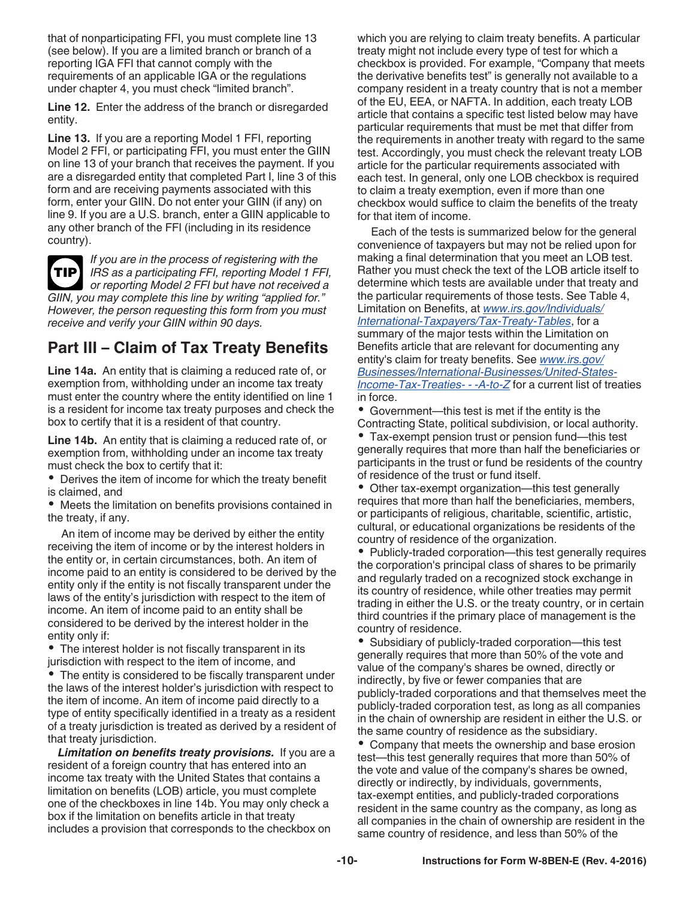that of nonparticipating FFI, you must complete line 13 (see below). If you are a limited branch or branch of a reporting IGA FFI that cannot comply with the requirements of an applicable IGA or the regulations under chapter 4, you must check "limited branch".

**Line 12.** Enter the address of the branch or disregarded entity.

**Line 13.** If you are a reporting Model 1 FFI, reporting Model 2 FFI, or participating FFI, you must enter the GIIN on line 13 of your branch that receives the payment. If you are a disregarded entity that completed Part I, line 3 of this form and are receiving payments associated with this form, enter your GIIN. Do not enter your GIIN (if any) on line 9. If you are a U.S. branch, enter a GIIN applicable to any other branch of the FFI (including in its residence country).



*If you are in the process of registering with the IRS as a participating FFI, reporting Model 1 FFI, or reporting Model 2 FFI but have not received a GIIN, you may complete this line by writing "applied for." However, the person requesting this form from you must receive and verify your GIIN within 90 days.*

### **Part III – Claim of Tax Treaty Benefits**

**Line 14a.** An entity that is claiming a reduced rate of, or exemption from, withholding under an income tax treaty must enter the country where the entity identified on line 1 is a resident for income tax treaty purposes and check the box to certify that it is a resident of that country.

**Line 14b.** An entity that is claiming a reduced rate of, or exemption from, withholding under an income tax treaty must check the box to certify that it:

Derives the item of income for which the treaty benefit is claimed, and

Meets the limitation on benefits provisions contained in the treaty, if any.

An item of income may be derived by either the entity receiving the item of income or by the interest holders in the entity or, in certain circumstances, both. An item of income paid to an entity is considered to be derived by the entity only if the entity is not fiscally transparent under the laws of the entity's jurisdiction with respect to the item of income. An item of income paid to an entity shall be considered to be derived by the interest holder in the entity only if:

The interest holder is not fiscally transparent in its jurisdiction with respect to the item of income, and

The entity is considered to be fiscally transparent under the laws of the interest holder's jurisdiction with respect to the item of income. An item of income paid directly to a type of entity specifically identified in a treaty as a resident of a treaty jurisdiction is treated as derived by a resident of that treaty jurisdiction.

*Limitation on benefits treaty provisions.* If you are a resident of a foreign country that has entered into an income tax treaty with the United States that contains a limitation on benefits (LOB) article, you must complete one of the checkboxes in line 14b. You may only check a box if the limitation on benefits article in that treaty includes a provision that corresponds to the checkbox on

which you are relying to claim treaty benefits. A particular treaty might not include every type of test for which a checkbox is provided. For example, "Company that meets the derivative benefits test" is generally not available to a company resident in a treaty country that is not a member of the EU, EEA, or NAFTA. In addition, each treaty LOB article that contains a specific test listed below may have particular requirements that must be met that differ from the requirements in another treaty with regard to the same test. Accordingly, you must check the relevant treaty LOB article for the particular requirements associated with each test. In general, only one LOB checkbox is required to claim a treaty exemption, even if more than one checkbox would suffice to claim the benefits of the treaty for that item of income.

Each of the tests is summarized below for the general convenience of taxpayers but may not be relied upon for making a final determination that you meet an LOB test. Rather you must check the text of the LOB article itself to determine which tests are available under that treaty and the particular requirements of those tests. See Table 4, Limitation on Benefits, at *[www.irs.gov/Individuals/](https://www.irs.gov/Individuals/International-Taxpayers/Tax-Treaty-Tables) [International-Taxpayers/Tax-Treaty-Tables](https://www.irs.gov/Individuals/International-Taxpayers/Tax-Treaty-Tables)*, for a summary of the major tests within the Limitation on Benefits article that are relevant for documenting any entity's claim for treaty benefits. See *[www.irs.gov/](http://www.irs.gov/Businesses/International-Businesses/United-States-Income-Tax-Treaties---A-to-Z) [Businesses/International-Businesses/United-States-](http://www.irs.gov/Businesses/International-Businesses/United-States-Income-Tax-Treaties---A-to-Z)[Income-Tax-Treaties- - -A-to-Z](http://www.irs.gov/Businesses/International-Businesses/United-States-Income-Tax-Treaties---A-to-Z)* for a current list of treaties in force.

Government—this test is met if the entity is the Contracting State, political subdivision, or local authority.

Tax-exempt pension trust or pension fund—this test generally requires that more than half the beneficiaries or participants in the trust or fund be residents of the country of residence of the trust or fund itself.

Other tax-exempt organization—this test generally requires that more than half the beneficiaries, members, or participants of religious, charitable, scientific, artistic, cultural, or educational organizations be residents of the country of residence of the organization.

• Publicly-traded corporation—this test generally requires the corporation's principal class of shares to be primarily and regularly traded on a recognized stock exchange in its country of residence, while other treaties may permit trading in either the U.S. or the treaty country, or in certain third countries if the primary place of management is the country of residence.

Subsidiary of publicly-traded corporation—this test generally requires that more than 50% of the vote and value of the company's shares be owned, directly or indirectly, by five or fewer companies that are publicly-traded corporations and that themselves meet the publicly-traded corporation test, as long as all companies in the chain of ownership are resident in either the U.S. or the same country of residence as the subsidiary.

Company that meets the ownership and base erosion test—this test generally requires that more than 50% of the vote and value of the company's shares be owned, directly or indirectly, by individuals, governments, tax-exempt entities, and publicly-traded corporations resident in the same country as the company, as long as all companies in the chain of ownership are resident in the same country of residence, and less than 50% of the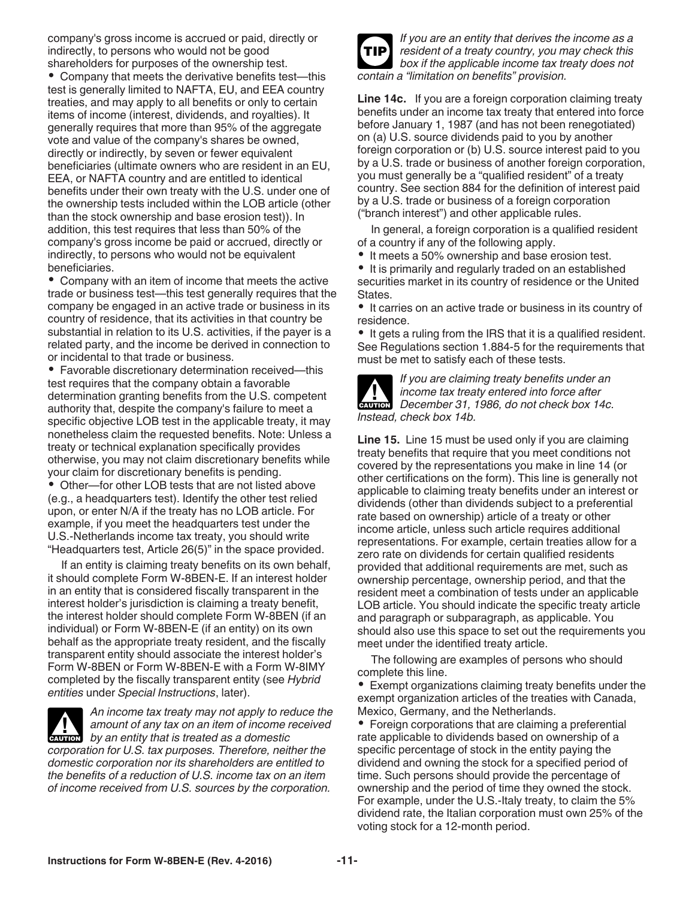company's gross income is accrued or paid, directly or indirectly, to persons who would not be good shareholders for purposes of the ownership test.

Company that meets the derivative benefits test—this test is generally limited to NAFTA, EU, and EEA country treaties, and may apply to all benefits or only to certain items of income (interest, dividends, and royalties). It generally requires that more than 95% of the aggregate vote and value of the company's shares be owned, directly or indirectly, by seven or fewer equivalent beneficiaries (ultimate owners who are resident in an EU, EEA, or NAFTA country and are entitled to identical benefits under their own treaty with the U.S. under one of the ownership tests included within the LOB article (other than the stock ownership and base erosion test)). In addition, this test requires that less than 50% of the company's gross income be paid or accrued, directly or indirectly, to persons who would not be equivalent beneficiaries.

Company with an item of income that meets the active trade or business test—this test generally requires that the company be engaged in an active trade or business in its country of residence, that its activities in that country be substantial in relation to its U.S. activities, if the payer is a related party, and the income be derived in connection to or incidental to that trade or business.

Favorable discretionary determination received—this test requires that the company obtain a favorable determination granting benefits from the U.S. competent authority that, despite the company's failure to meet a specific objective LOB test in the applicable treaty, it may nonetheless claim the requested benefits. Note: Unless a treaty or technical explanation specifically provides otherwise, you may not claim discretionary benefits while your claim for discretionary benefits is pending.

Other—for other LOB tests that are not listed above (e.g., a headquarters test). Identify the other test relied upon, or enter N/A if the treaty has no LOB article. For example, if you meet the headquarters test under the U.S.-Netherlands income tax treaty, you should write "Headquarters test, Article 26(5)" in the space provided.

If an entity is claiming treaty benefits on its own behalf, it should complete Form W-8BEN-E. If an interest holder in an entity that is considered fiscally transparent in the interest holder's jurisdiction is claiming a treaty benefit, the interest holder should complete Form W-8BEN (if an individual) or Form W-8BEN-E (if an entity) on its own behalf as the appropriate treaty resident, and the fiscally transparent entity should associate the interest holder's Form W-8BEN or Form W-8BEN-E with a Form W-8IMY completed by the fiscally transparent entity (see *Hybrid entities* under *Special Instructions*, later).



*An income tax treaty may not apply to reduce the amount of any tax on an item of income received*  **by an entity that is treated as a domestic**  $\alpha$  **by an entity that is treated as a domestic** *corporation for U.S. tax purposes. Therefore, neither the* 

*domestic corporation nor its shareholders are entitled to the benefits of a reduction of U.S. income tax on an item of income received from U.S. sources by the corporation.*



*If you are an entity that derives the income as a resident of a treaty country, you may check this box if the applicable income tax treaty does not contain a "limitation on benefits" provision.*

**Line 14c.** If you are a foreign corporation claiming treaty benefits under an income tax treaty that entered into force before January 1, 1987 (and has not been renegotiated) on (a) U.S. source dividends paid to you by another foreign corporation or (b) U.S. source interest paid to you by a U.S. trade or business of another foreign corporation, you must generally be a "qualified resident" of a treaty country. See section 884 for the definition of interest paid by a U.S. trade or business of a foreign corporation ("branch interest") and other applicable rules.

In general, a foreign corporation is a qualified resident of a country if any of the following apply.

• It meets a 50% ownership and base erosion test.

It is primarily and regularly traded on an established securities market in its country of residence or the United States.

• It carries on an active trade or business in its country of residence.

• It gets a ruling from the IRS that it is a qualified resident. See Regulations section 1.884-5 for the requirements that must be met to satisfy each of these tests.



*If you are claiming treaty benefits under an income tax treaty entered into force after*  **DECEMBER 31, 1986, do not check box 14c.**<br> **CAUTION** December 31, 1986, do not check box 14c. *Instead, check box 14b.*

**Line 15.** Line 15 must be used only if you are claiming treaty benefits that require that you meet conditions not covered by the representations you make in line 14 (or other certifications on the form). This line is generally not applicable to claiming treaty benefits under an interest or dividends (other than dividends subject to a preferential rate based on ownership) article of a treaty or other income article, unless such article requires additional representations. For example, certain treaties allow for a zero rate on dividends for certain qualified residents provided that additional requirements are met, such as ownership percentage, ownership period, and that the resident meet a combination of tests under an applicable LOB article. You should indicate the specific treaty article and paragraph or subparagraph, as applicable. You should also use this space to set out the requirements you meet under the identified treaty article.

The following are examples of persons who should complete this line.

Exempt organizations claiming treaty benefits under the exempt organization articles of the treaties with Canada, Mexico, Germany, and the Netherlands.

Foreign corporations that are claiming a preferential rate applicable to dividends based on ownership of a specific percentage of stock in the entity paying the dividend and owning the stock for a specified period of time. Such persons should provide the percentage of ownership and the period of time they owned the stock. For example, under the U.S.-Italy treaty, to claim the 5% dividend rate, the Italian corporation must own 25% of the voting stock for a 12-month period.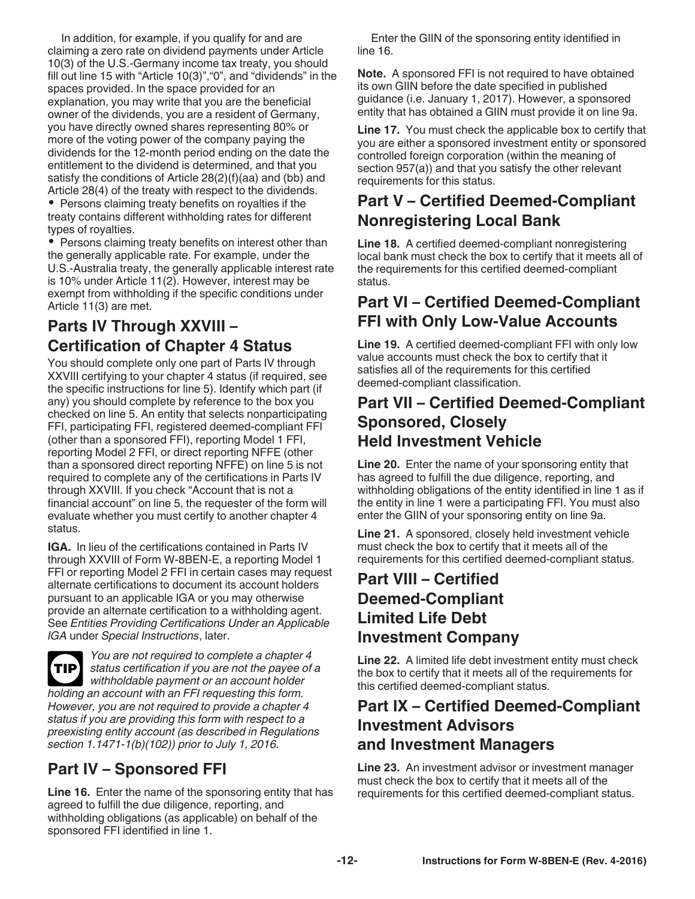In addition, for example, if you qualify for and are claiming a zero rate on dividend payments under Article 10(3) of the U.S.-Germany income tax treaty, you should fill out line 15 with "Article 10(3)","0", and "dividends" in the spaces provided. In the space provided for an explanation, you may write that you are the beneficial owner of the dividends, you are a resident of Germany, you have directly owned shares representing 80% or more of the voting power of the company paying the dividends for the 12-month period ending on the date the entitlement to the dividend is determined, and that you satisfy the conditions of Article 28(2)(f)(aa) and (bb) and Article 28(4) of the treaty with respect to the dividends. • Persons claiming treaty benefits on royalties if the

treaty contains different withholding rates for different types of royalties.

• Persons claiming treaty benefits on interest other than the generally applicable rate. For example, under the U.S.-Australia treaty, the generally applicable interest rate is 10% under Article 11(2). However, interest may be exempt from withholding if the specific conditions under Article 11(3) are met.

### **Parts IV Through XXVIII – Certification of Chapter 4 Status**

You should complete only one part of Parts IV through XXVIII certifying to your chapter 4 status (if required, see the specific instructions for line 5). Identify which part (if any) you should complete by reference to the box you checked on line 5. An entity that selects nonparticipating FFI, participating FFI, registered deemed-compliant FFI (other than a sponsored FFI), reporting Model 1 FFI, reporting Model 2 FFI, or direct reporting NFFE (other than a sponsored direct reporting NFFE) on line 5 is not required to complete any of the certifications in Parts IV through XXVIII. If you check "Account that is not a financial account" on line 5, the requester of the form will evaluate whether you must certify to another chapter 4 status.

**IGA.** In lieu of the certifications contained in Parts IV through XXVIII of Form W-8BEN-E, a reporting Model 1 FFI or reporting Model 2 FFI in certain cases may request alternate certifications to document its account holders pursuant to an applicable IGA or you may otherwise provide an alternate certification to a withholding agent. See *Entities Providing Certifications Under an Applicable IGA* under *Special Instructions*, later.

*You are not required to complete a chapter 4 status certification if you are not the payee of a*  **TIP** *withholdable payment or an account holder holding an account with an FFI requesting this form. However, you are not required to provide a chapter 4 status if you are providing this form with respect to a preexisting entity account (as described in Regulations section 1.1471-1(b)(102)) prior to July 1, 2016.*

# **Part IV – Sponsored FFI**

**Line 16.** Enter the name of the sponsoring entity that has agreed to fulfill the due diligence, reporting, and withholding obligations (as applicable) on behalf of the sponsored FFI identified in line 1.

Enter the GIIN of the sponsoring entity identified in line 16.

**Note.** A sponsored FFI is not required to have obtained its own GIIN before the date specified in published guidance (i.e. January 1, 2017). However, a sponsored entity that has obtained a GIIN must provide it on line 9a.

**Line 17.** You must check the applicable box to certify that you are either a sponsored investment entity or sponsored controlled foreign corporation (within the meaning of section 957(a)) and that you satisfy the other relevant requirements for this status.

### **Part V – Certified Deemed-Compliant Nonregistering Local Bank**

**Line 18.** A certified deemed-compliant nonregistering local bank must check the box to certify that it meets all of the requirements for this certified deemed-compliant status.

### **Part VI – Certified Deemed-Compliant FFI with Only Low-Value Accounts**

**Line 19.** A certified deemed-compliant FFI with only low value accounts must check the box to certify that it satisfies all of the requirements for this certified deemed-compliant classification.

#### **Part VII – Certified Deemed-Compliant Sponsored, Closely Held Investment Vehicle**

**Line 20.** Enter the name of your sponsoring entity that has agreed to fulfill the due diligence, reporting, and withholding obligations of the entity identified in line 1 as if the entity in line 1 were a participating FFI. You must also enter the GIIN of your sponsoring entity on line 9a.

**Line 21.** A sponsored, closely held investment vehicle must check the box to certify that it meets all of the requirements for this certified deemed-compliant status.

#### **Part VIII – Certified Deemed-Compliant Limited Life Debt Investment Company**

**Line 22.** A limited life debt investment entity must check the box to certify that it meets all of the requirements for this certified deemed-compliant status.

#### **Part IX – Certified Deemed-Compliant Investment Advisors and Investment Managers**

**Line 23.** An investment advisor or investment manager must check the box to certify that it meets all of the requirements for this certified deemed-compliant status.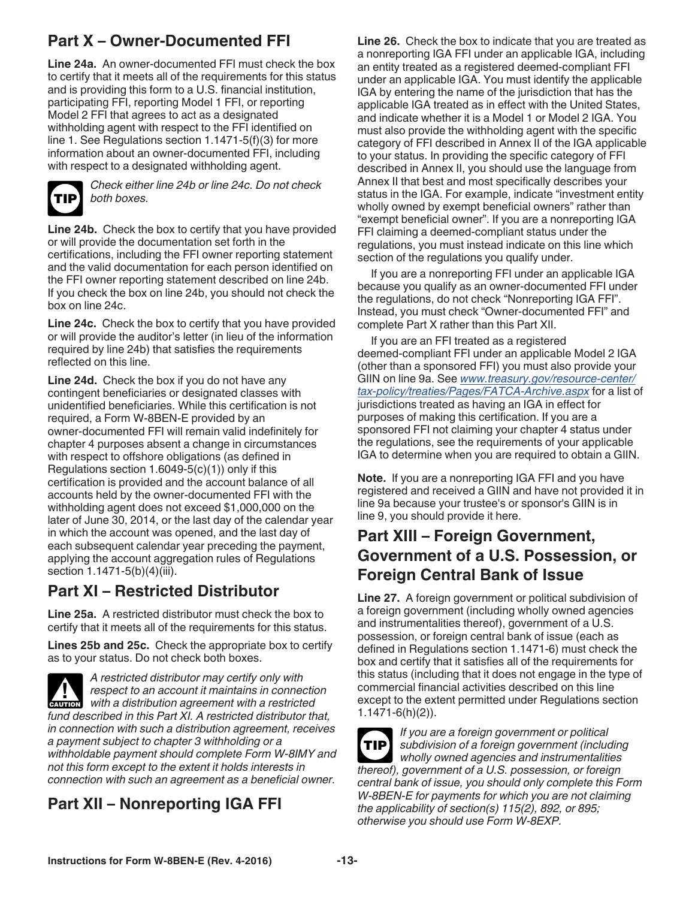# **Part X – Owner-Documented FFI**

**Line 24a.** An owner-documented FFI must check the box to certify that it meets all of the requirements for this status and is providing this form to a U.S. financial institution, participating FFI, reporting Model 1 FFI, or reporting Model 2 FFI that agrees to act as a designated withholding agent with respect to the FFI identified on line 1. See Regulations section 1.1471-5(f)(3) for more information about an owner-documented FFI, including with respect to a designated withholding agent.



*Check either line 24b or line 24c. Do not check both boxes.*

**Line 24b.** Check the box to certify that you have provided or will provide the documentation set forth in the certifications, including the FFI owner reporting statement and the valid documentation for each person identified on the FFI owner reporting statement described on line 24b. If you check the box on line 24b, you should not check the box on line 24c.

**Line 24c.** Check the box to certify that you have provided or will provide the auditor's letter (in lieu of the information required by line 24b) that satisfies the requirements reflected on this line.

**Line 24d.** Check the box if you do not have any contingent beneficiaries or designated classes with unidentified beneficiaries. While this certification is not required, a Form W-8BEN-E provided by an owner-documented FFI will remain valid indefinitely for chapter 4 purposes absent a change in circumstances with respect to offshore obligations (as defined in Regulations section  $1.6049-5(c)(1)$  only if this certification is provided and the account balance of all accounts held by the owner-documented FFI with the withholding agent does not exceed \$1,000,000 on the later of June 30, 2014, or the last day of the calendar year in which the account was opened, and the last day of each subsequent calendar year preceding the payment, applying the account aggregation rules of Regulations section 1.1471-5(b)(4)(iii).

#### **Part XI – Restricted Distributor**

**Line 25a.** A restricted distributor must check the box to certify that it meets all of the requirements for this status.

**Lines 25b and 25c.** Check the appropriate box to certify as to your status. Do not check both boxes.



*A restricted distributor may certify only with respect to an account it maintains in connection*  **Propect to an account it maintains in connection with a distribution agreement with a restricted** *fund described in this Part XI. A restricted distributor that, in connection with such a distribution agreement, receives a payment subject to chapter 3 withholding or a withholdable payment should complete Form W-8IMY and not this form except to the extent it holds interests in connection with such an agreement as a beneficial owner.*

# **Part XII – Nonreporting IGA FFI**

**Line 26.** Check the box to indicate that you are treated as a nonreporting IGA FFI under an applicable IGA, including an entity treated as a registered deemed-compliant FFI under an applicable IGA. You must identify the applicable IGA by entering the name of the jurisdiction that has the applicable IGA treated as in effect with the United States, and indicate whether it is a Model 1 or Model 2 IGA. You must also provide the withholding agent with the specific category of FFI described in Annex II of the IGA applicable to your status. In providing the specific category of FFI described in Annex II, you should use the language from Annex II that best and most specifically describes your status in the IGA. For example, indicate "investment entity wholly owned by exempt beneficial owners" rather than "exempt beneficial owner". If you are a nonreporting IGA FFI claiming a deemed-compliant status under the regulations, you must instead indicate on this line which section of the regulations you qualify under.

If you are a nonreporting FFI under an applicable IGA because you qualify as an owner-documented FFI under the regulations, do not check "Nonreporting IGA FFI". Instead, you must check "Owner-documented FFI" and complete Part X rather than this Part XII.

If you are an FFI treated as a registered deemed-compliant FFI under an applicable Model 2 IGA (other than a sponsored FFI) you must also provide your GIIN on line 9a. See *[www.treasury.gov/resource-center/](http://www.treasury.gov/resource-center/tax-policy/treaties/Pages/FATCA-Archive.aspx) [tax-policy/treaties/Pages/FATCA-Archive.aspx](http://www.treasury.gov/resource-center/tax-policy/treaties/Pages/FATCA-Archive.aspx)* for a list of jurisdictions treated as having an IGA in effect for purposes of making this certification. If you are a sponsored FFI not claiming your chapter 4 status under the regulations, see the requirements of your applicable IGA to determine when you are required to obtain a GIIN.

**Note.** If you are a nonreporting IGA FFI and you have registered and received a GIIN and have not provided it in line 9a because your trustee's or sponsor's GIIN is in line 9, you should provide it here.

### **Part XIII – Foreign Government, Government of a U.S. Possession, or Foreign Central Bank of Issue**

**Line 27.** A foreign government or political subdivision of a foreign government (including wholly owned agencies and instrumentalities thereof), government of a U.S. possession, or foreign central bank of issue (each as defined in Regulations section 1.1471-6) must check the box and certify that it satisfies all of the requirements for this status (including that it does not engage in the type of commercial financial activities described on this line except to the extent permitted under Regulations section 1.1471-6(h)(2)).



*If you are a foreign government or political subdivision of a foreign government (including wholly owned agencies and instrumentalities thereof), government of a U.S. possession, or foreign central bank of issue, you should only complete this Form W-8BEN-E for payments for which you are not claiming the applicability of section(s) 115(2), 892, or 895; otherwise you should use Form W-8EXP.*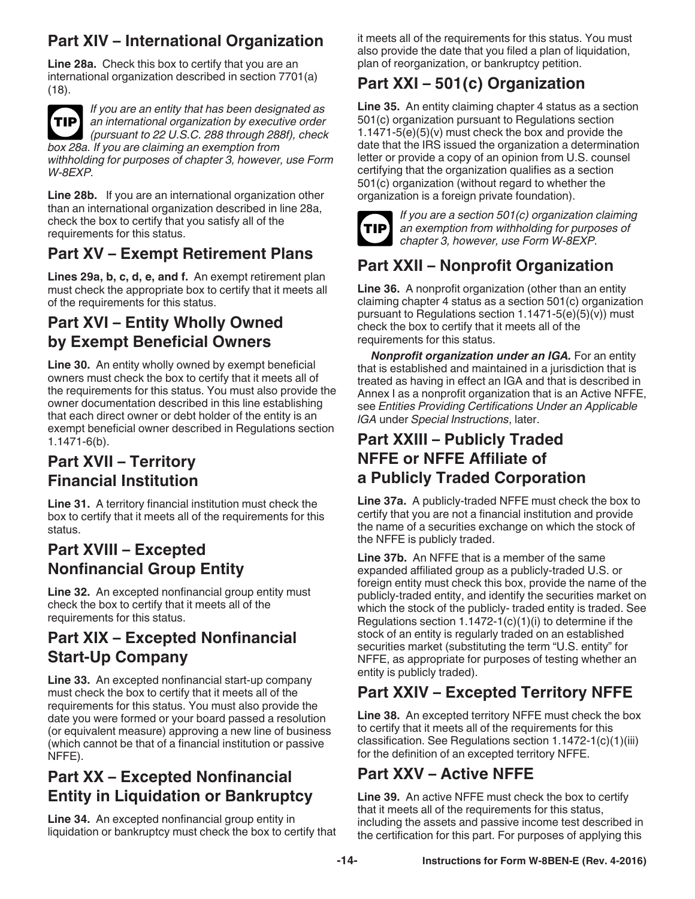# **Part XIV – International Organization**

**Line 28a.** Check this box to certify that you are an international organization described in section 7701(a) (18).



*If you are an entity that has been designated as an international organization by executive order (pursuant to 22 U.S.C. 288 through 288f), check* 

*box 28a. If you are claiming an exemption from withholding for purposes of chapter 3, however, use Form W-8EXP.*

**Line 28b.** If you are an international organization other than an international organization described in line 28a, check the box to certify that you satisfy all of the requirements for this status.

### **Part XV – Exempt Retirement Plans**

**Lines 29a, b, c, d, e, and f.** An exempt retirement plan must check the appropriate box to certify that it meets all of the requirements for this status.

### **Part XVI – Entity Wholly Owned by Exempt Beneficial Owners**

**Line 30.** An entity wholly owned by exempt beneficial owners must check the box to certify that it meets all of the requirements for this status. You must also provide the owner documentation described in this line establishing that each direct owner or debt holder of the entity is an exempt beneficial owner described in Regulations section 1.1471-6(b).

### **Part XVII – Territory Financial Institution**

**Line 31.** A territory financial institution must check the box to certify that it meets all of the requirements for this status.

#### **Part XVIII – Excepted Nonfinancial Group Entity**

**Line 32.** An excepted nonfinancial group entity must check the box to certify that it meets all of the requirements for this status.

#### **Part XIX – Excepted Nonfinancial Start-Up Company**

**Line 33.** An excepted nonfinancial start-up company must check the box to certify that it meets all of the requirements for this status. You must also provide the date you were formed or your board passed a resolution (or equivalent measure) approving a new line of business (which cannot be that of a financial institution or passive NFFE).

### **Part XX – Excepted Nonfinancial Entity in Liquidation or Bankruptcy**

**Line 34.** An excepted nonfinancial group entity in liquidation or bankruptcy must check the box to certify that it meets all of the requirements for this status. You must also provide the date that you filed a plan of liquidation, plan of reorganization, or bankruptcy petition.

# **Part XXI – 501(c) Organization**

**Line 35.** An entity claiming chapter 4 status as a section 501(c) organization pursuant to Regulations section 1.1471-5(e)(5)(v) must check the box and provide the date that the IRS issued the organization a determination letter or provide a copy of an opinion from U.S. counsel certifying that the organization qualifies as a section 501(c) organization (without regard to whether the organization is a foreign private foundation).



*If you are a section 501(c) organization claiming an exemption from withholding for purposes of chapter 3, however, use Form W-8EXP.*

# **Part XXII – Nonprofit Organization**

**Line 36.** A nonprofit organization (other than an entity claiming chapter 4 status as a section 501(c) organization pursuant to Regulations section  $1.1471-5(e)(5)(v)$  must check the box to certify that it meets all of the requirements for this status.

*Nonprofit organization under an IGA.* For an entity that is established and maintained in a jurisdiction that is treated as having in effect an IGA and that is described in Annex I as a nonprofit organization that is an Active NFFE, see *Entities Providing Certifications Under an Applicable IGA* under *Special Instructions*, later.

#### **Part XXIII – Publicly Traded NFFE or NFFE Affiliate of a Publicly Traded Corporation**

**Line 37a.** A publicly-traded NFFE must check the box to certify that you are not a financial institution and provide the name of a securities exchange on which the stock of the NFFE is publicly traded.

**Line 37b.** An NFFE that is a member of the same expanded affiliated group as a publicly-traded U.S. or foreign entity must check this box, provide the name of the publicly-traded entity, and identify the securities market on which the stock of the publicly- traded entity is traded. See Regulations section 1.1472-1(c)(1)(i) to determine if the stock of an entity is regularly traded on an established securities market (substituting the term "U.S. entity" for NFFE, as appropriate for purposes of testing whether an entity is publicly traded).

# **Part XXIV – Excepted Territory NFFE**

**Line 38.** An excepted territory NFFE must check the box to certify that it meets all of the requirements for this classification. See Regulations section 1.1472-1(c)(1)(iii) for the definition of an excepted territory NFFE.

# **Part XXV – Active NFFE**

**Line 39.** An active NFFE must check the box to certify that it meets all of the requirements for this status, including the assets and passive income test described in the certification for this part. For purposes of applying this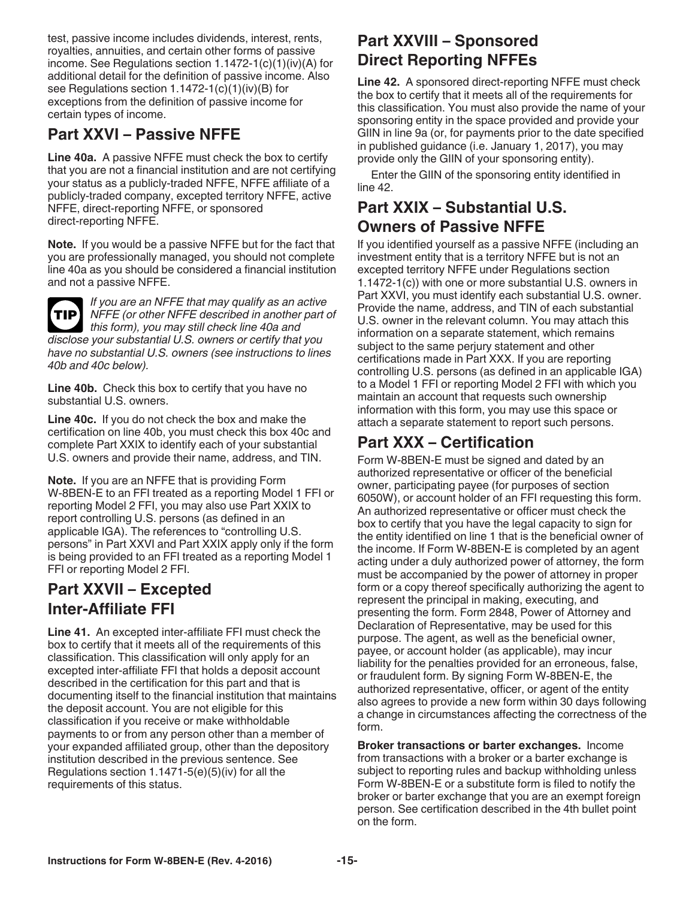test, passive income includes dividends, interest, rents, royalties, annuities, and certain other forms of passive income. See Regulations section 1.1472-1(c)(1)(iv)(A) for additional detail for the definition of passive income. Also see Regulations section 1.1472-1(c)(1)(iv)(B) for exceptions from the definition of passive income for certain types of income.

#### **Part XXVI – Passive NFFE**

**Line 40a.** A passive NFFE must check the box to certify that you are not a financial institution and are not certifying your status as a publicly-traded NFFE, NFFE affiliate of a publicly-traded company, excepted territory NFFE, active NFFE, direct-reporting NFFE, or sponsored direct-reporting NFFE.

**Note.** If you would be a passive NFFE but for the fact that you are professionally managed, you should not complete line 40a as you should be considered a financial institution and not a passive NFFE.



*If you are an NFFE that may qualify as an active NFFE (or other NFFE described in another part of*  **TIP** *this form), you may still check line 40a and disclose your substantial U.S. owners or certify that you have no substantial U.S. owners (see instructions to lines 40b and 40c below).*

Line 40b. Check this box to certify that you have no substantial U.S. owners.

**Line 40c.** If you do not check the box and make the certification on line 40b, you must check this box 40c and complete Part XXIX to identify each of your substantial U.S. owners and provide their name, address, and TIN.

**Note.** If you are an NFFE that is providing Form W-8BEN-E to an FFI treated as a reporting Model 1 FFI or reporting Model 2 FFI, you may also use Part XXIX to report controlling U.S. persons (as defined in an applicable IGA). The references to "controlling U.S. persons" in Part XXVI and Part XXIX apply only if the form is being provided to an FFI treated as a reporting Model 1 FFI or reporting Model 2 FFI.

#### **Part XXVII – Excepted Inter-Affiliate FFI**

**Line 41.** An excepted inter-affiliate FFI must check the box to certify that it meets all of the requirements of this classification. This classification will only apply for an excepted inter-affiliate FFI that holds a deposit account described in the certification for this part and that is documenting itself to the financial institution that maintains the deposit account. You are not eligible for this classification if you receive or make withholdable payments to or from any person other than a member of your expanded affiliated group, other than the depository institution described in the previous sentence. See Regulations section  $1.1471-5(e)(5)(iv)$  for all the requirements of this status.

### **Part XXVIII – Sponsored Direct Reporting NFFEs**

**Line 42.** A sponsored direct-reporting NFFE must check the box to certify that it meets all of the requirements for this classification. You must also provide the name of your sponsoring entity in the space provided and provide your GIIN in line 9a (or, for payments prior to the date specified in published guidance (i.e. January 1, 2017), you may provide only the GIIN of your sponsoring entity).

Enter the GIIN of the sponsoring entity identified in line 42.

#### **Part XXIX – Substantial U.S. Owners of Passive NFFE**

If you identified yourself as a passive NFFE (including an investment entity that is a territory NFFE but is not an excepted territory NFFE under Regulations section 1.1472-1(c)) with one or more substantial U.S. owners in Part XXVI, you must identify each substantial U.S. owner. Provide the name, address, and TIN of each substantial U.S. owner in the relevant column. You may attach this information on a separate statement, which remains subject to the same perjury statement and other certifications made in Part XXX. If you are reporting controlling U.S. persons (as defined in an applicable IGA) to a Model 1 FFI or reporting Model 2 FFI with which you maintain an account that requests such ownership information with this form, you may use this space or attach a separate statement to report such persons.

### **Part XXX – Certification**

Form W-8BEN-E must be signed and dated by an authorized representative or officer of the beneficial owner, participating payee (for purposes of section 6050W), or account holder of an FFI requesting this form. An authorized representative or officer must check the box to certify that you have the legal capacity to sign for the entity identified on line 1 that is the beneficial owner of the income. If Form W-8BEN-E is completed by an agent acting under a duly authorized power of attorney, the form must be accompanied by the power of attorney in proper form or a copy thereof specifically authorizing the agent to represent the principal in making, executing, and presenting the form. Form 2848, Power of Attorney and Declaration of Representative, may be used for this purpose. The agent, as well as the beneficial owner, payee, or account holder (as applicable), may incur liability for the penalties provided for an erroneous, false, or fraudulent form. By signing Form W-8BEN-E, the authorized representative, officer, or agent of the entity also agrees to provide a new form within 30 days following a change in circumstances affecting the correctness of the form.

**Broker transactions or barter exchanges.** Income from transactions with a broker or a barter exchange is subject to reporting rules and backup withholding unless Form W-8BEN-E or a substitute form is filed to notify the broker or barter exchange that you are an exempt foreign person. See certification described in the 4th bullet point on the form.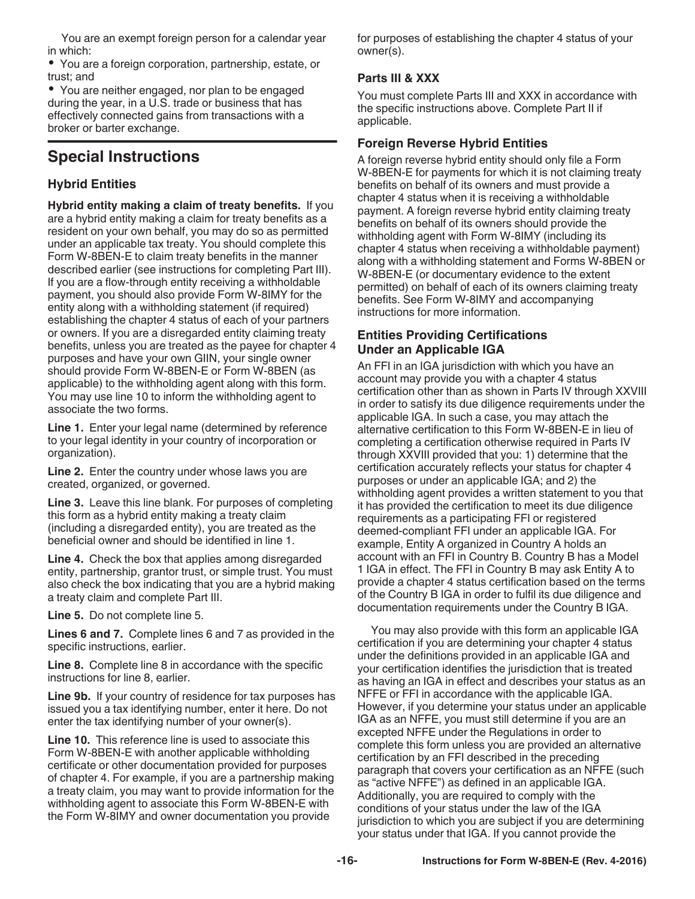You are an exempt foreign person for a calendar year in which:

You are a foreign corporation, partnership, estate, or trust; and

You are neither engaged, nor plan to be engaged during the year, in a U.S. trade or business that has effectively connected gains from transactions with a broker or barter exchange.

#### **Special Instructions**

#### **Hybrid Entities**

**Hybrid entity making a claim of treaty benefits.** If you are a hybrid entity making a claim for treaty benefits as a resident on your own behalf, you may do so as permitted under an applicable tax treaty. You should complete this Form W-8BEN-E to claim treaty benefits in the manner described earlier (see instructions for completing Part III). If you are a flow-through entity receiving a withholdable payment, you should also provide Form W-8IMY for the entity along with a withholding statement (if required) establishing the chapter 4 status of each of your partners or owners. If you are a disregarded entity claiming treaty benefits, unless you are treated as the payee for chapter 4 purposes and have your own GIIN, your single owner should provide Form W-8BEN-E or Form W-8BEN (as applicable) to the withholding agent along with this form. You may use line 10 to inform the withholding agent to associate the two forms.

**Line 1.** Enter your legal name (determined by reference to your legal identity in your country of incorporation or organization).

**Line 2.** Enter the country under whose laws you are created, organized, or governed.

**Line 3.** Leave this line blank. For purposes of completing this form as a hybrid entity making a treaty claim (including a disregarded entity), you are treated as the beneficial owner and should be identified in line 1.

**Line 4.** Check the box that applies among disregarded entity, partnership, grantor trust, or simple trust. You must also check the box indicating that you are a hybrid making a treaty claim and complete Part III.

**Line 5.** Do not complete line 5.

**Lines 6 and 7.** Complete lines 6 and 7 as provided in the specific instructions, earlier.

**Line 8.** Complete line 8 in accordance with the specific instructions for line 8, earlier.

**Line 9b.** If your country of residence for tax purposes has issued you a tax identifying number, enter it here. Do not enter the tax identifying number of your owner(s).

**Line 10.** This reference line is used to associate this Form W-8BEN-E with another applicable withholding certificate or other documentation provided for purposes of chapter 4. For example, if you are a partnership making a treaty claim, you may want to provide information for the withholding agent to associate this Form W-8BEN-E with the Form W-8IMY and owner documentation you provide

for purposes of establishing the chapter 4 status of your owner(s).

#### **Parts III & XXX**

You must complete Parts III and XXX in accordance with the specific instructions above. Complete Part II if applicable.

#### **Foreign Reverse Hybrid Entities**

A foreign reverse hybrid entity should only file a Form W-8BEN-E for payments for which it is not claiming treaty benefits on behalf of its owners and must provide a chapter 4 status when it is receiving a withholdable payment. A foreign reverse hybrid entity claiming treaty benefits on behalf of its owners should provide the withholding agent with Form W-8IMY (including its chapter 4 status when receiving a withholdable payment) along with a withholding statement and Forms W-8BEN or W-8BEN-E (or documentary evidence to the extent permitted) on behalf of each of its owners claiming treaty benefits. See Form W-8IMY and accompanying instructions for more information.

#### **Entities Providing Certifications Under an Applicable IGA**

An FFI in an IGA jurisdiction with which you have an account may provide you with a chapter 4 status certification other than as shown in Parts IV through XXVIII in order to satisfy its due diligence requirements under the applicable IGA. In such a case, you may attach the alternative certification to this Form W-8BEN-E in lieu of completing a certification otherwise required in Parts IV through XXVIII provided that you: 1) determine that the certification accurately reflects your status for chapter 4 purposes or under an applicable IGA; and 2) the withholding agent provides a written statement to you that it has provided the certification to meet its due diligence requirements as a participating FFI or registered deemed-compliant FFI under an applicable IGA. For example, Entity A organized in Country A holds an account with an FFI in Country B. Country B has a Model 1 IGA in effect. The FFI in Country B may ask Entity A to provide a chapter 4 status certification based on the terms of the Country B IGA in order to fulfil its due diligence and documentation requirements under the Country B IGA.

You may also provide with this form an applicable IGA certification if you are determining your chapter 4 status under the definitions provided in an applicable IGA and your certification identifies the jurisdiction that is treated as having an IGA in effect and describes your status as an NFFE or FFI in accordance with the applicable IGA. However, if you determine your status under an applicable IGA as an NFFE, you must still determine if you are an excepted NFFE under the Regulations in order to complete this form unless you are provided an alternative certification by an FFI described in the preceding paragraph that covers your certification as an NFFE (such as "active NFFE") as defined in an applicable IGA. Additionally, you are required to comply with the conditions of your status under the law of the IGA jurisdiction to which you are subject if you are determining your status under that IGA. If you cannot provide the